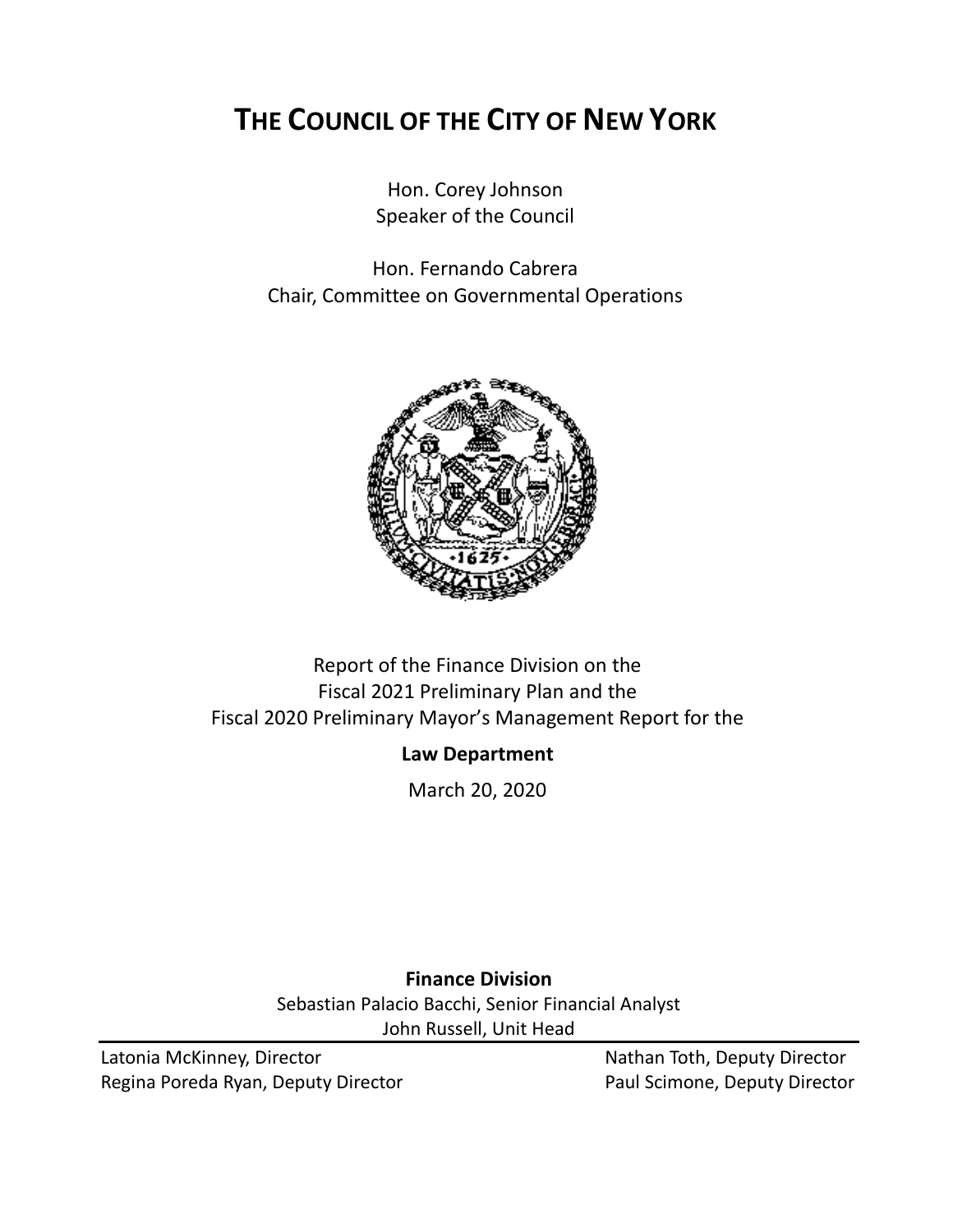# **THE COUNCIL OF THE CITY OF NEW YORK**

Hon. Corey Johnson Speaker of the Council

Hon. Fernando Cabrera Chair, Committee on Governmental Operations



### Report of the Finance Division on the Fiscal 2021 Preliminary Plan and the Fiscal 2020 Preliminary Mayor's Management Report for the

### **Law Department**

March 20, 2020

**Finance Division** Sebastian Palacio Bacchi, Senior Financial Analyst John Russell, Unit Head

Latonia McKinney, Director Nathan Toth, Deputy Director Regina Poreda Ryan, Deputy Director **Paul Scimone, Deputy Director**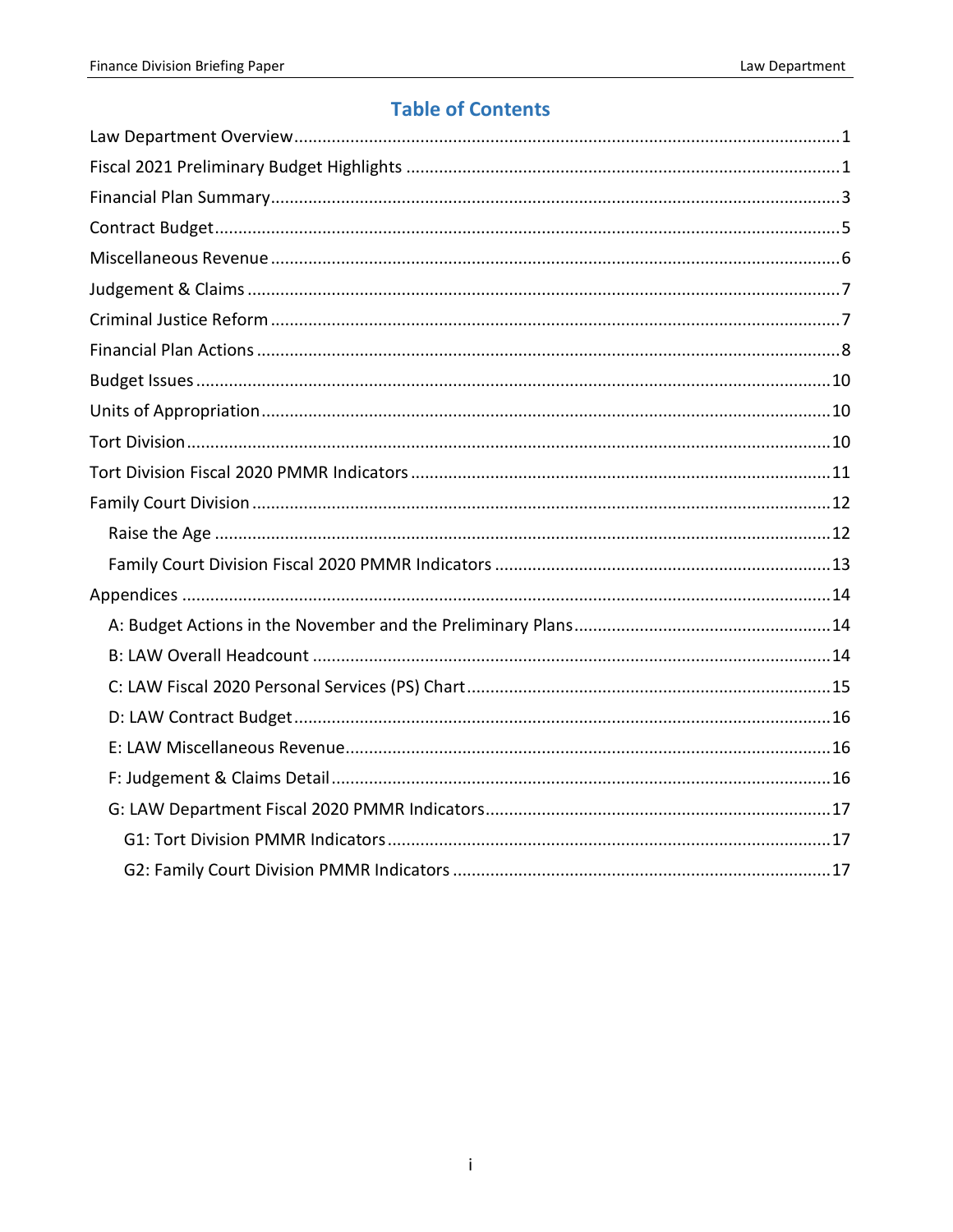### **Table of Contents**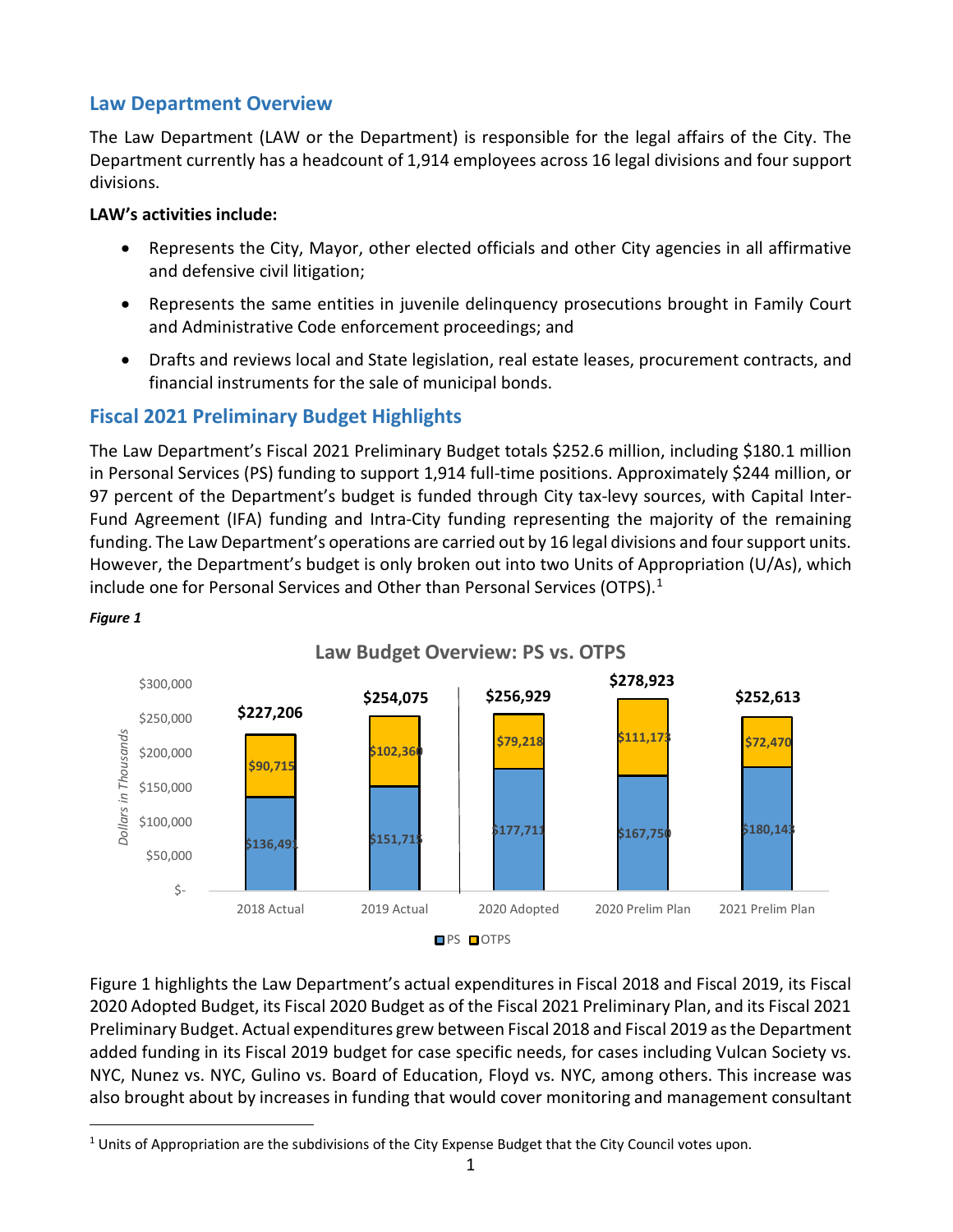#### <span id="page-2-0"></span>**Law Department Overview**

The Law Department (LAW or the Department) is responsible for the legal affairs of the City. The Department currently has a headcount of 1,914 employees across 16 legal divisions and four support divisions.

#### **LAW's activities include:**

- Represents the City, Mayor, other elected officials and other City agencies in all affirmative and defensive civil litigation;
- Represents the same entities in juvenile delinquency prosecutions brought in Family Court and Administrative Code enforcement proceedings; and
- Drafts and reviews local and State legislation, real estate leases, procurement contracts, and financial instruments for the sale of municipal bonds.

### <span id="page-2-1"></span>**Fiscal 2021 Preliminary Budget Highlights**

The Law Department's Fiscal 2021 Preliminary Budget totals \$252.6 million, including \$180.1 million in Personal Services (PS) funding to support 1,914 full-time positions. Approximately \$244 million, or 97 percent of the Department's budget is funded through City tax-levy sources, with Capital Inter-Fund Agreement (IFA) funding and Intra-City funding representing the majority of the remaining funding. The Law Department's operations are carried out by 16 legal divisions and four support units. However, the Department's budget is only broken out into two Units of Appropriation (U/As), which include one for Personal Services and Other than Personal Services (OTPS).<sup>[1](#page-2-2)</sup>





Figure 1 highlights the Law Department's actual expenditures in Fiscal 2018 and Fiscal 2019, its Fiscal 2020 Adopted Budget, its Fiscal 2020 Budget as of the Fiscal 2021 Preliminary Plan, and its Fiscal 2021 Preliminary Budget. Actual expenditures grew between Fiscal 2018 and Fiscal 2019 as the Department added funding in its Fiscal 2019 budget for case specific needs, for cases including Vulcan Society vs. NYC, Nunez vs. NYC, Gulino vs. Board of Education, Floyd vs. NYC, among others. This increase was also brought about by increases in funding that would cover monitoring and management consultant

<span id="page-2-2"></span><sup>&</sup>lt;sup>1</sup> Units of Appropriation are the subdivisions of the City Expense Budget that the City Council votes upon.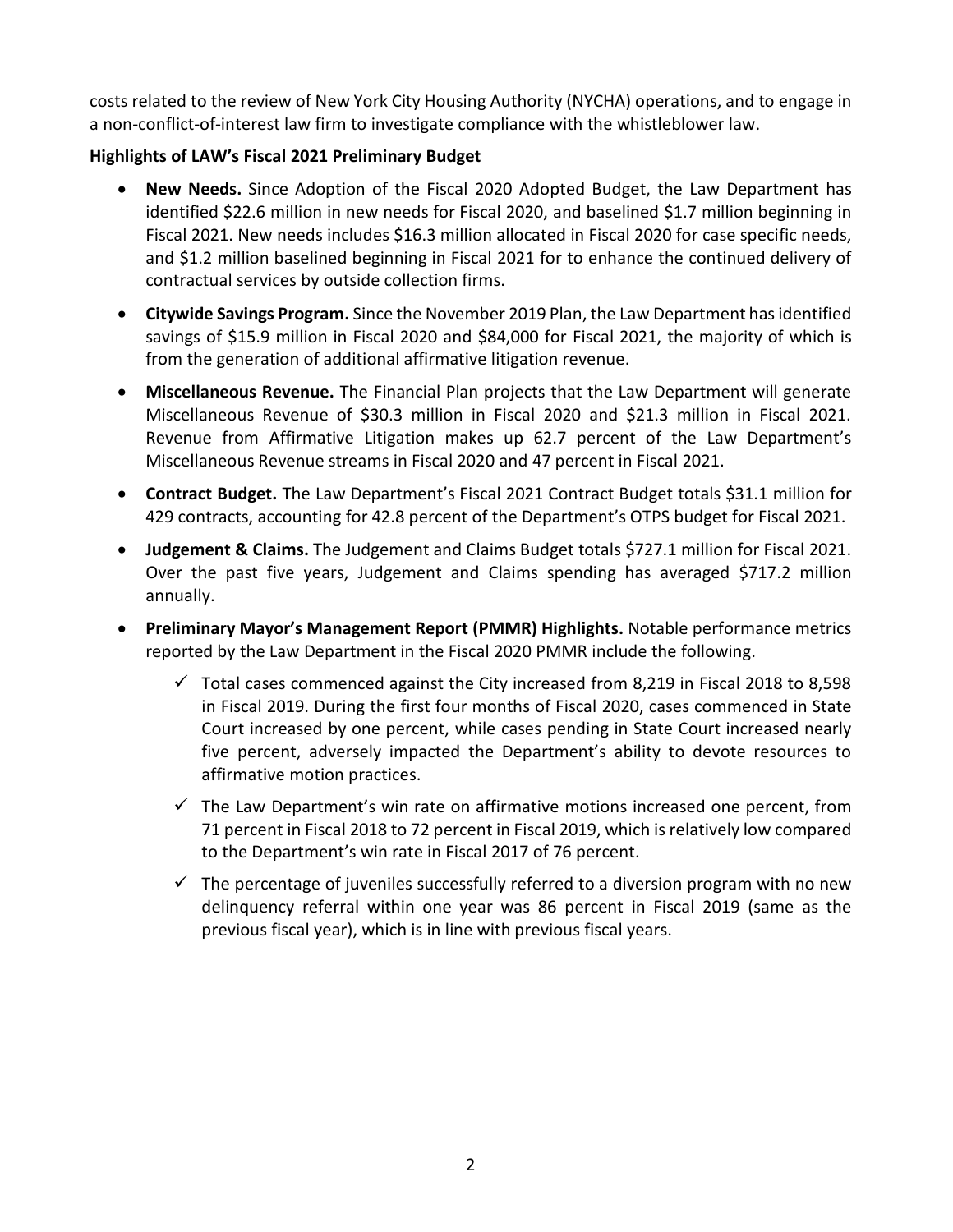costs related to the review of New York City Housing Authority (NYCHA) operations, and to engage in a non-conflict-of-interest law firm to investigate compliance with the whistleblower law.

#### **Highlights of LAW's Fiscal 2021 Preliminary Budget**

- **New Needs.** Since Adoption of the Fiscal 2020 Adopted Budget, the Law Department has identified \$22.6 million in new needs for Fiscal 2020, and baselined \$1.7 million beginning in Fiscal 2021. New needs includes \$16.3 million allocated in Fiscal 2020 for case specific needs, and \$1.2 million baselined beginning in Fiscal 2021 for to enhance the continued delivery of contractual services by outside collection firms.
- **Citywide Savings Program.** Since the November 2019 Plan, the Law Department has identified savings of \$15.9 million in Fiscal 2020 and \$84,000 for Fiscal 2021, the majority of which is from the generation of additional affirmative litigation revenue.
- **Miscellaneous Revenue.** The Financial Plan projects that the Law Department will generate Miscellaneous Revenue of \$30.3 million in Fiscal 2020 and \$21.3 million in Fiscal 2021. Revenue from Affirmative Litigation makes up 62.7 percent of the Law Department's Miscellaneous Revenue streams in Fiscal 2020 and 47 percent in Fiscal 2021.
- **Contract Budget.** The Law Department's Fiscal 2021 Contract Budget totals \$31.1 million for 429 contracts, accounting for 42.8 percent of the Department's OTPS budget for Fiscal 2021.
- **Judgement & Claims.** The Judgement and Claims Budget totals \$727.1 million for Fiscal 2021. Over the past five years, Judgement and Claims spending has averaged \$717.2 million annually.
- **Preliminary Mayor's Management Report (PMMR) Highlights.** Notable performance metrics reported by the Law Department in the Fiscal 2020 PMMR include the following.
	- $\checkmark$  Total cases commenced against the City increased from 8,219 in Fiscal 2018 to 8,598 in Fiscal 2019. During the first four months of Fiscal 2020, cases commenced in State Court increased by one percent, while cases pending in State Court increased nearly five percent, adversely impacted the Department's ability to devote resources to affirmative motion practices.
	- $\checkmark$  The Law Department's win rate on affirmative motions increased one percent, from 71 percent in Fiscal 2018 to 72 percent in Fiscal 2019, which is relatively low compared to the Department's win rate in Fiscal 2017 of 76 percent.
	- $\checkmark$  The percentage of juveniles successfully referred to a diversion program with no new delinquency referral within one year was 86 percent in Fiscal 2019 (same as the previous fiscal year), which is in line with previous fiscal years.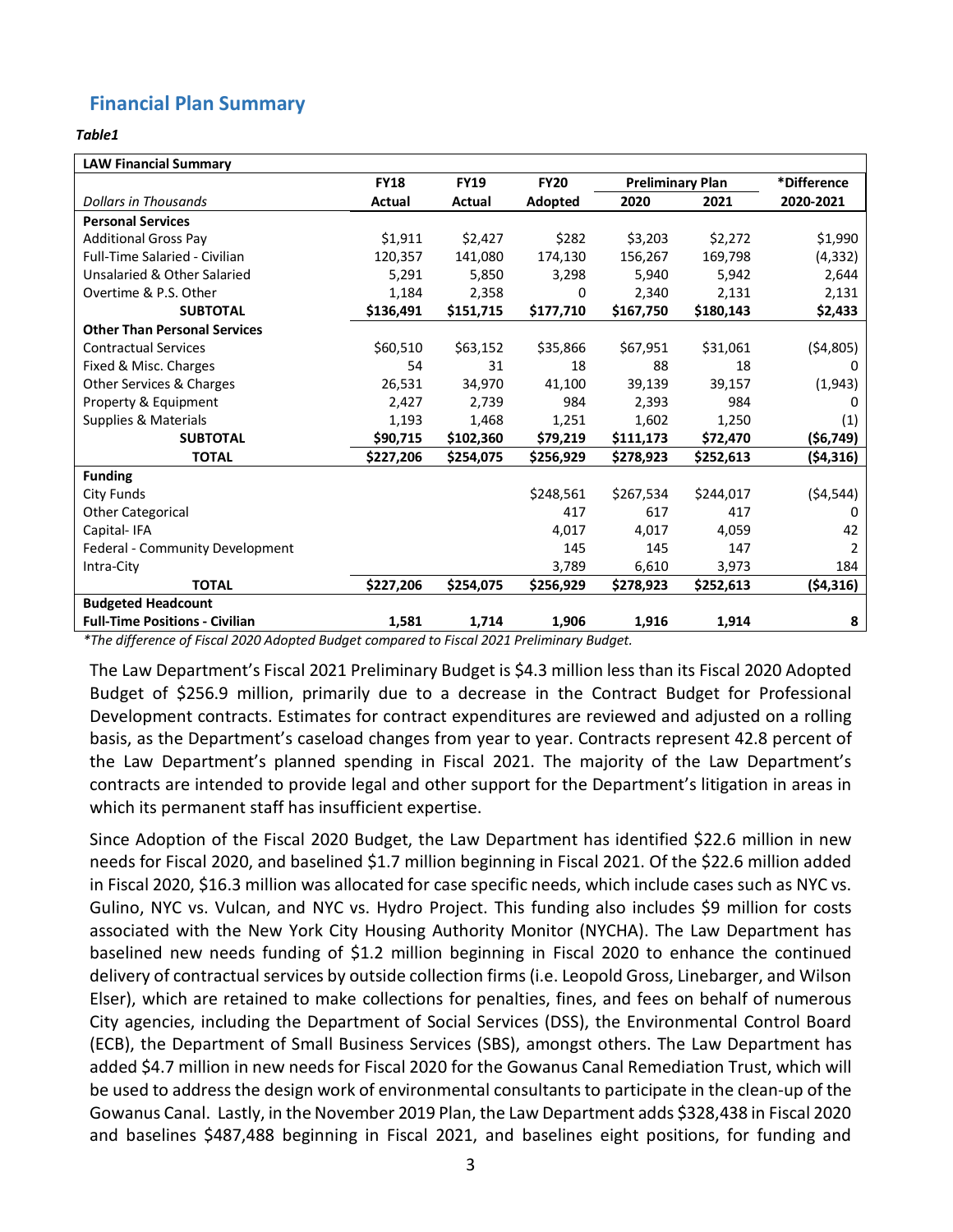### <span id="page-4-0"></span>**Financial Plan Summary**

#### *Table1*

| <b>LAW Financial Summary</b>          |             |               |             |                         |           |             |
|---------------------------------------|-------------|---------------|-------------|-------------------------|-----------|-------------|
|                                       | <b>FY18</b> | <b>FY19</b>   | <b>FY20</b> | <b>Preliminary Plan</b> |           | *Difference |
| <b>Dollars in Thousands</b>           | Actual      | <b>Actual</b> | Adopted     | 2020                    | 2021      | 2020-2021   |
| <b>Personal Services</b>              |             |               |             |                         |           |             |
| <b>Additional Gross Pay</b>           | \$1,911     | \$2,427       | \$282       | \$3,203                 | \$2,272   | \$1,990     |
| <b>Full-Time Salaried - Civilian</b>  | 120,357     | 141,080       | 174,130     | 156,267                 | 169,798   | (4, 332)    |
| Unsalaried & Other Salaried           | 5,291       | 5,850         | 3,298       | 5,940                   | 5,942     | 2,644       |
| Overtime & P.S. Other                 | 1,184       | 2,358         | 0           | 2,340                   | 2,131     | 2,131       |
| <b>SUBTOTAL</b>                       | \$136,491   | \$151,715     | \$177,710   | \$167,750               | \$180,143 | \$2,433     |
| <b>Other Than Personal Services</b>   |             |               |             |                         |           |             |
| <b>Contractual Services</b>           | \$60,510    | \$63,152      | \$35,866    | \$67,951                | \$31,061  | ( \$4,805)  |
| Fixed & Misc. Charges                 | 54          | 31            | 18          | 88                      | 18        |             |
| Other Services & Charges              | 26,531      | 34,970        | 41,100      | 39,139                  | 39,157    | (1,943)     |
| Property & Equipment                  | 2,427       | 2,739         | 984         | 2,393                   | 984       | 0           |
| <b>Supplies &amp; Materials</b>       | 1,193       | 1,468         | 1,251       | 1,602                   | 1,250     | (1)         |
| <b>SUBTOTAL</b>                       | \$90,715    | \$102,360     | \$79,219    | \$111,173               | \$72,470  | ( \$6,749)  |
| <b>TOTAL</b>                          | \$227,206   | \$254,075     | \$256,929   | \$278,923               | \$252,613 | (54, 316)   |
| <b>Funding</b>                        |             |               |             |                         |           |             |
| City Funds                            |             |               | \$248,561   | \$267,534               | \$244,017 | ( \$4,544)  |
| <b>Other Categorical</b>              |             |               | 417         | 617                     | 417       | 0           |
| Capital-IFA                           |             |               | 4.017       | 4,017                   | 4,059     | 42          |
| Federal - Community Development       |             |               | 145         | 145                     | 147       | 2           |
| Intra-City                            |             |               | 3,789       | 6,610                   | 3,973     | 184         |
| <b>TOTAL</b>                          | \$227,206   | \$254,075     | \$256,929   | \$278,923               | \$252,613 | ( \$4,316)  |
| <b>Budgeted Headcount</b>             |             |               |             |                         |           |             |
| <b>Full-Time Positions - Civilian</b> | 1,581       | 1,714         | 1,906       | 1,916                   | 1,914     | 8           |

*\*The difference of Fiscal 2020 Adopted Budget compared to Fiscal 2021 Preliminary Budget.*

The Law Department's Fiscal 2021 Preliminary Budget is \$4.3 million less than its Fiscal 2020 Adopted Budget of \$256.9 million, primarily due to a decrease in the Contract Budget for Professional Development contracts. Estimates for contract expenditures are reviewed and adjusted on a rolling basis, as the Department's caseload changes from year to year. Contracts represent 42.8 percent of the Law Department's planned spending in Fiscal 2021. The majority of the Law Department's contracts are intended to provide legal and other support for the Department's litigation in areas in which its permanent staff has insufficient expertise.

Since Adoption of the Fiscal 2020 Budget, the Law Department has identified \$22.6 million in new needs for Fiscal 2020, and baselined \$1.7 million beginning in Fiscal 2021. Of the \$22.6 million added in Fiscal 2020, \$16.3 million was allocated for case specific needs, which include cases such as NYC vs. Gulino, NYC vs. Vulcan, and NYC vs. Hydro Project. This funding also includes \$9 million for costs associated with the New York City Housing Authority Monitor (NYCHA). The Law Department has baselined new needs funding of \$1.2 million beginning in Fiscal 2020 to enhance the continued delivery of contractual services by outside collection firms (i.e. Leopold Gross, Linebarger, and Wilson Elser), which are retained to make collections for penalties, fines, and fees on behalf of numerous City agencies, including the Department of Social Services (DSS), the Environmental Control Board (ECB), the Department of Small Business Services (SBS), amongst others. The Law Department has added \$4.7 million in new needs for Fiscal 2020 for the Gowanus Canal Remediation Trust, which will be used to address the design work of environmental consultants to participate in the clean-up of the Gowanus Canal. Lastly, in the November 2019 Plan, the Law Department adds \$328,438 in Fiscal 2020 and baselines \$487,488 beginning in Fiscal 2021, and baselines eight positions, for funding and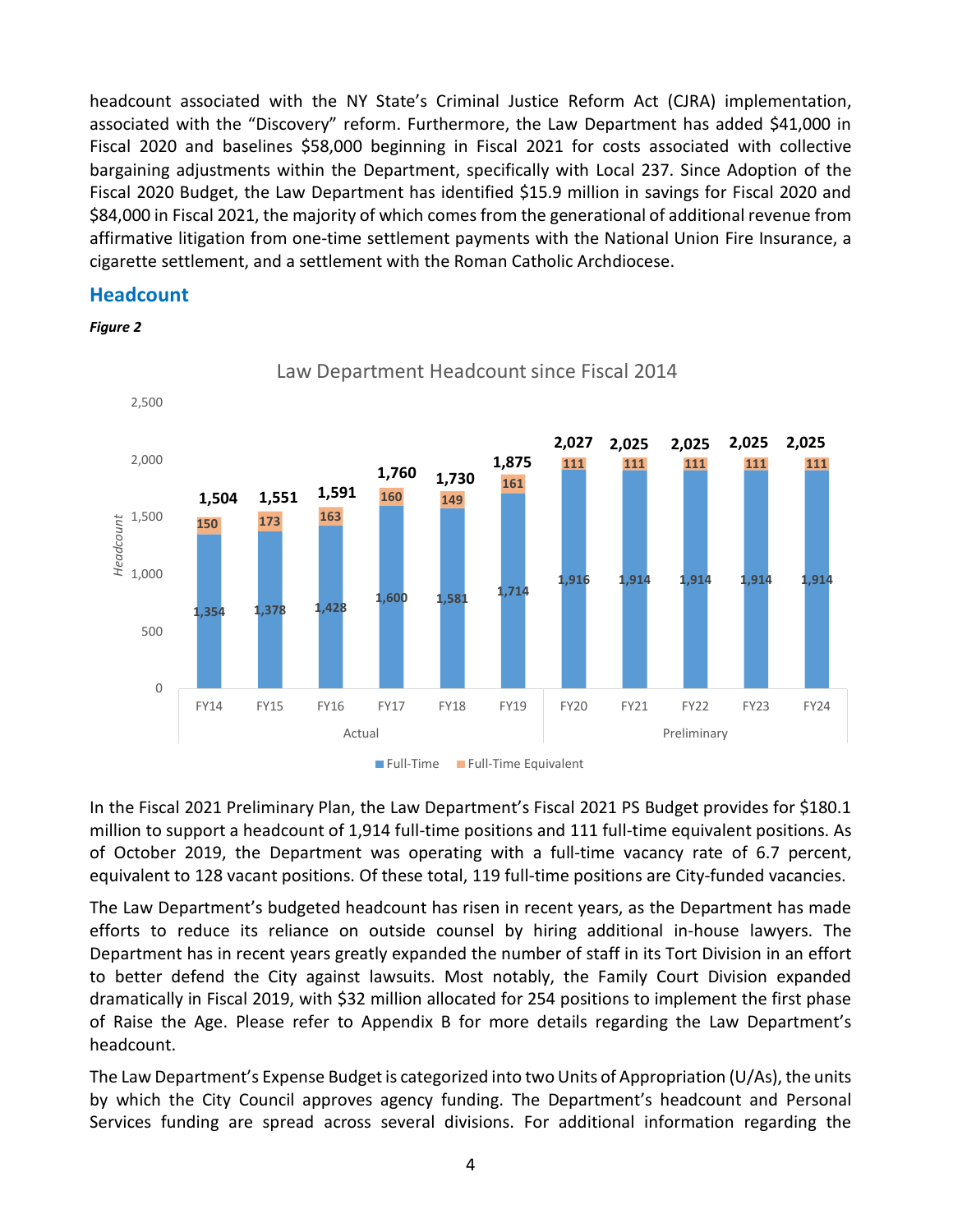headcount associated with the NY State's Criminal Justice Reform Act (CJRA) implementation, associated with the "Discovery" reform. Furthermore, the Law Department has added \$41,000 in Fiscal 2020 and baselines \$58,000 beginning in Fiscal 2021 for costs associated with collective bargaining adjustments within the Department, specifically with Local 237. Since Adoption of the Fiscal 2020 Budget, the Law Department has identified \$15.9 million in savings for Fiscal 2020 and \$84,000 in Fiscal 2021, the majority of which comes from the generational of additional revenue from affirmative litigation from one-time settlement payments with the National Union Fire Insurance, a cigarette settlement, and a settlement with the Roman Catholic Archdiocese.

#### **Headcount**

*Figure 2*



Law Department Headcount since Fiscal 2014

In the Fiscal 2021 Preliminary Plan, the Law Department's Fiscal 2021 PS Budget provides for \$180.1 million to support a headcount of 1,914 full-time positions and 111 full-time equivalent positions. As of October 2019, the Department was operating with a full-time vacancy rate of 6.7 percent, equivalent to 128 vacant positions. Of these total, 119 full-time positions are City-funded vacancies.

The Law Department's budgeted headcount has risen in recent years, as the Department has made efforts to reduce its reliance on outside counsel by hiring additional in-house lawyers. The Department has in recent years greatly expanded the number of staff in its Tort Division in an effort to better defend the City against lawsuits. Most notably, the Family Court Division expanded dramatically in Fiscal 2019, with \$32 million allocated for 254 positions to implement the first phase of Raise the Age. Please refer to Appendix B for more details regarding the Law Department's headcount.

The Law Department's Expense Budget is categorized into two Units of Appropriation (U/As), the units by which the City Council approves agency funding. The Department's headcount and Personal Services funding are spread across several divisions. For additional information regarding the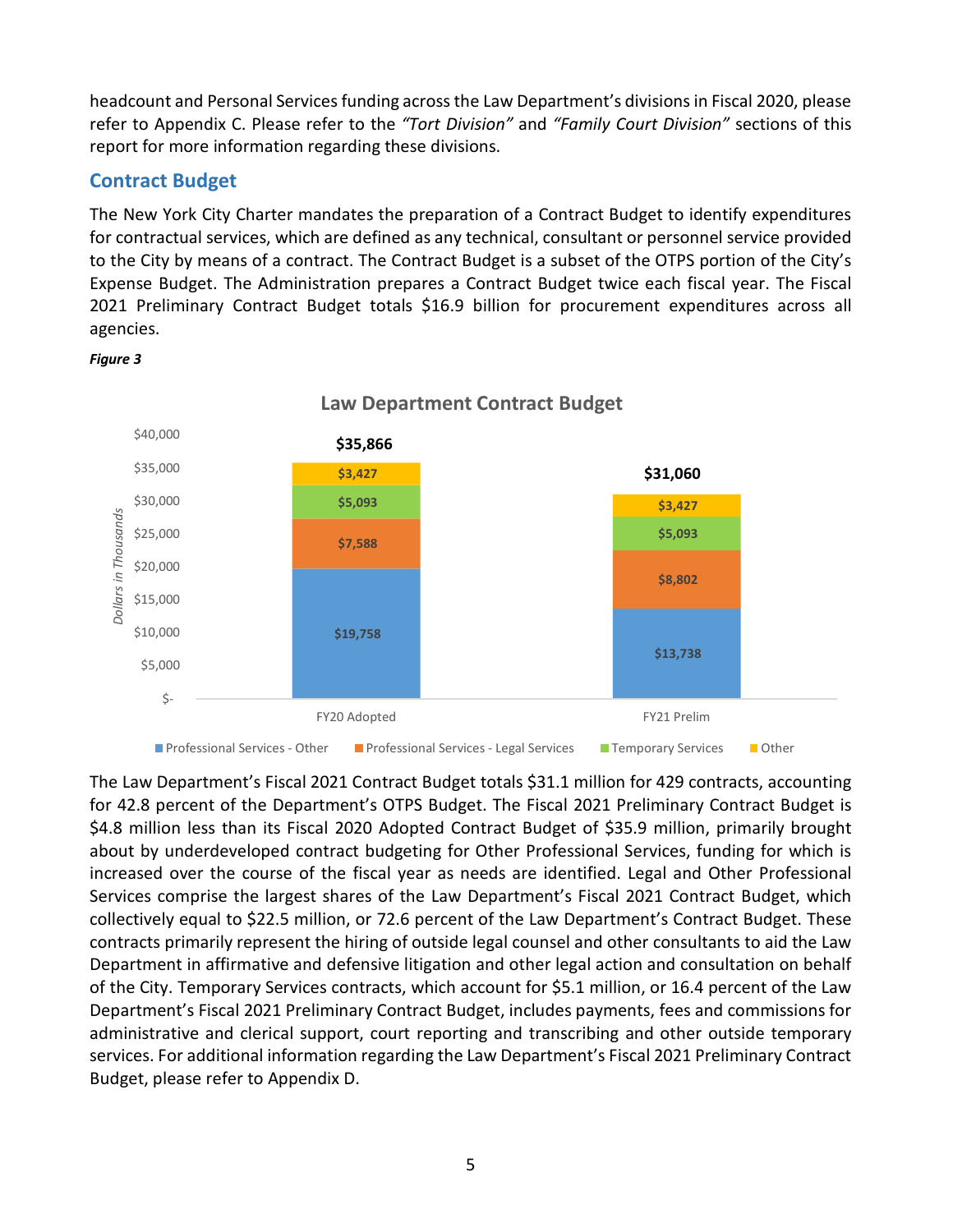headcount and Personal Services funding across the Law Department's divisions in Fiscal 2020, please refer to Appendix C. Please refer to the *"Tort Division"* and *"Family Court Division"* sections of this report for more information regarding these divisions.

#### <span id="page-6-0"></span>**Contract Budget**

The New York City Charter mandates the preparation of a Contract Budget to identify expenditures for contractual services, which are defined as any technical, consultant or personnel service provided to the City by means of a contract. The Contract Budget is a subset of the OTPS portion of the City's Expense Budget. The Administration prepares a Contract Budget twice each fiscal year. The Fiscal 2021 Preliminary Contract Budget totals \$16.9 billion for procurement expenditures across all agencies.



#### *Figure 3*

The Law Department's Fiscal 2021 Contract Budget totals \$31.1 million for 429 contracts, accounting for 42.8 percent of the Department's OTPS Budget. The Fiscal 2021 Preliminary Contract Budget is \$4.8 million less than its Fiscal 2020 Adopted Contract Budget of \$35.9 million, primarily brought about by underdeveloped contract budgeting for Other Professional Services, funding for which is increased over the course of the fiscal year as needs are identified. Legal and Other Professional Services comprise the largest shares of the Law Department's Fiscal 2021 Contract Budget, which collectively equal to \$22.5 million, or 72.6 percent of the Law Department's Contract Budget. These contracts primarily represent the hiring of outside legal counsel and other consultants to aid the Law Department in affirmative and defensive litigation and other legal action and consultation on behalf of the City. Temporary Services contracts, which account for \$5.1 million, or 16.4 percent of the Law Department's Fiscal 2021 Preliminary Contract Budget, includes payments, fees and commissions for administrative and clerical support, court reporting and transcribing and other outside temporary services. For additional information regarding the Law Department's Fiscal 2021 Preliminary Contract Budget, please refer to Appendix D.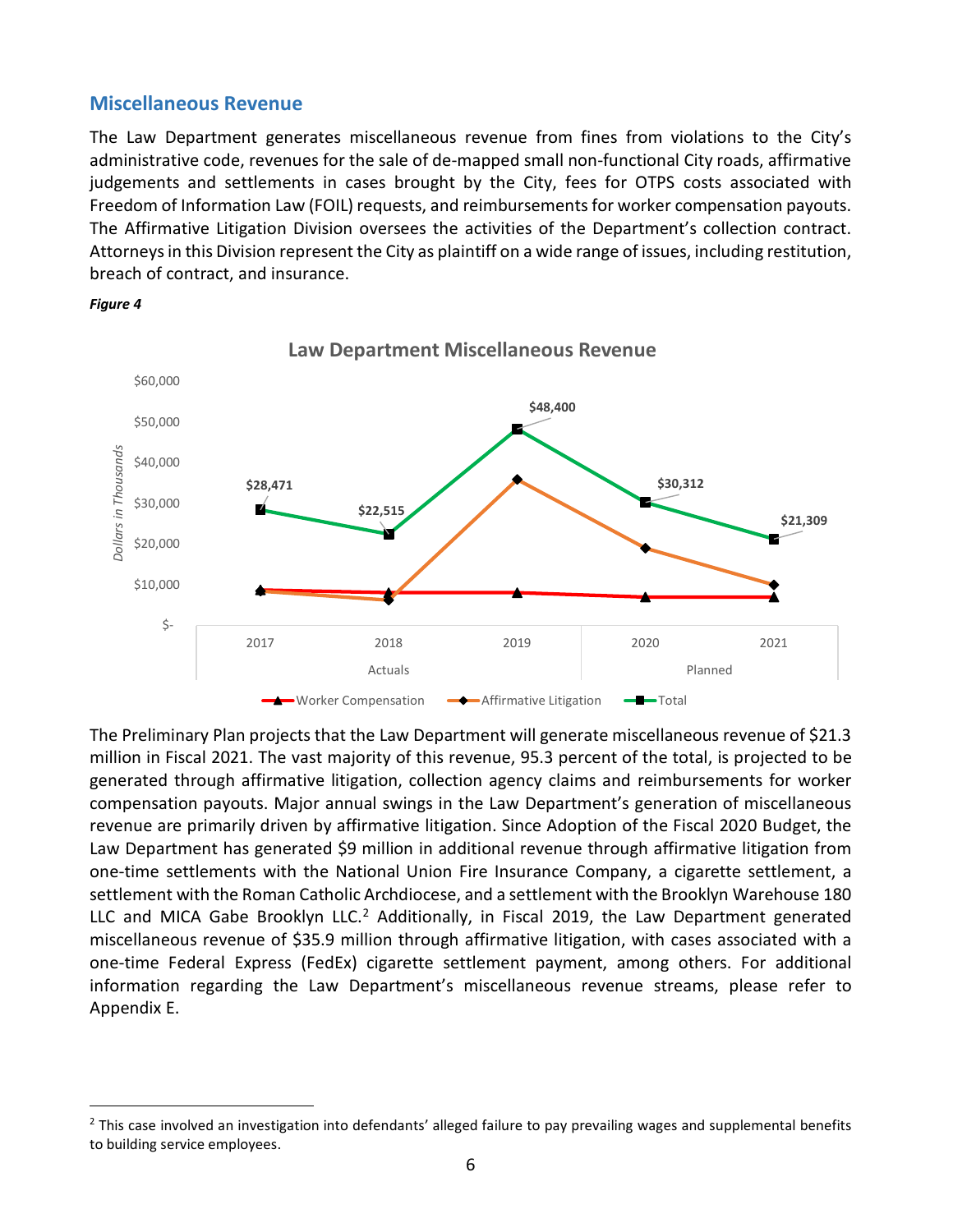#### <span id="page-7-0"></span>**Miscellaneous Revenue**

The Law Department generates miscellaneous revenue from fines from violations to the City's administrative code, revenues for the sale of de-mapped small non-functional City roads, affirmative judgements and settlements in cases brought by the City, fees for OTPS costs associated with Freedom of Information Law (FOIL) requests, and reimbursements for worker compensation payouts. The Affirmative Litigation Division oversees the activities of the Department's collection contract. Attorneys in this Division represent the City as plaintiff on a wide range of issues, including restitution, breach of contract, and insurance.



*Figure 4*

The Preliminary Plan projects that the Law Department will generate miscellaneous revenue of \$21.3 million in Fiscal 2021. The vast majority of this revenue, 95.3 percent of the total, is projected to be generated through affirmative litigation, collection agency claims and reimbursements for worker compensation payouts. Major annual swings in the Law Department's generation of miscellaneous revenue are primarily driven by affirmative litigation. Since Adoption of the Fiscal 2020 Budget, the Law Department has generated \$9 million in additional revenue through affirmative litigation from one-time settlements with the National Union Fire Insurance Company, a cigarette settlement, a settlement with the Roman Catholic Archdiocese, and a settlement with the Brooklyn Warehouse 180 LLC and MICA Gabe Brooklyn LLC.<sup>[2](#page-7-1)</sup> Additionally, in Fiscal 2019, the Law Department generated miscellaneous revenue of \$35.9 million through affirmative litigation, with cases associated with a one-time Federal Express (FedEx) cigarette settlement payment, among others. For additional information regarding the Law Department's miscellaneous revenue streams, please refer to Appendix E.

<span id="page-7-1"></span> $2$  This case involved an investigation into defendants' alleged failure to pay prevailing wages and supplemental benefits to building service employees.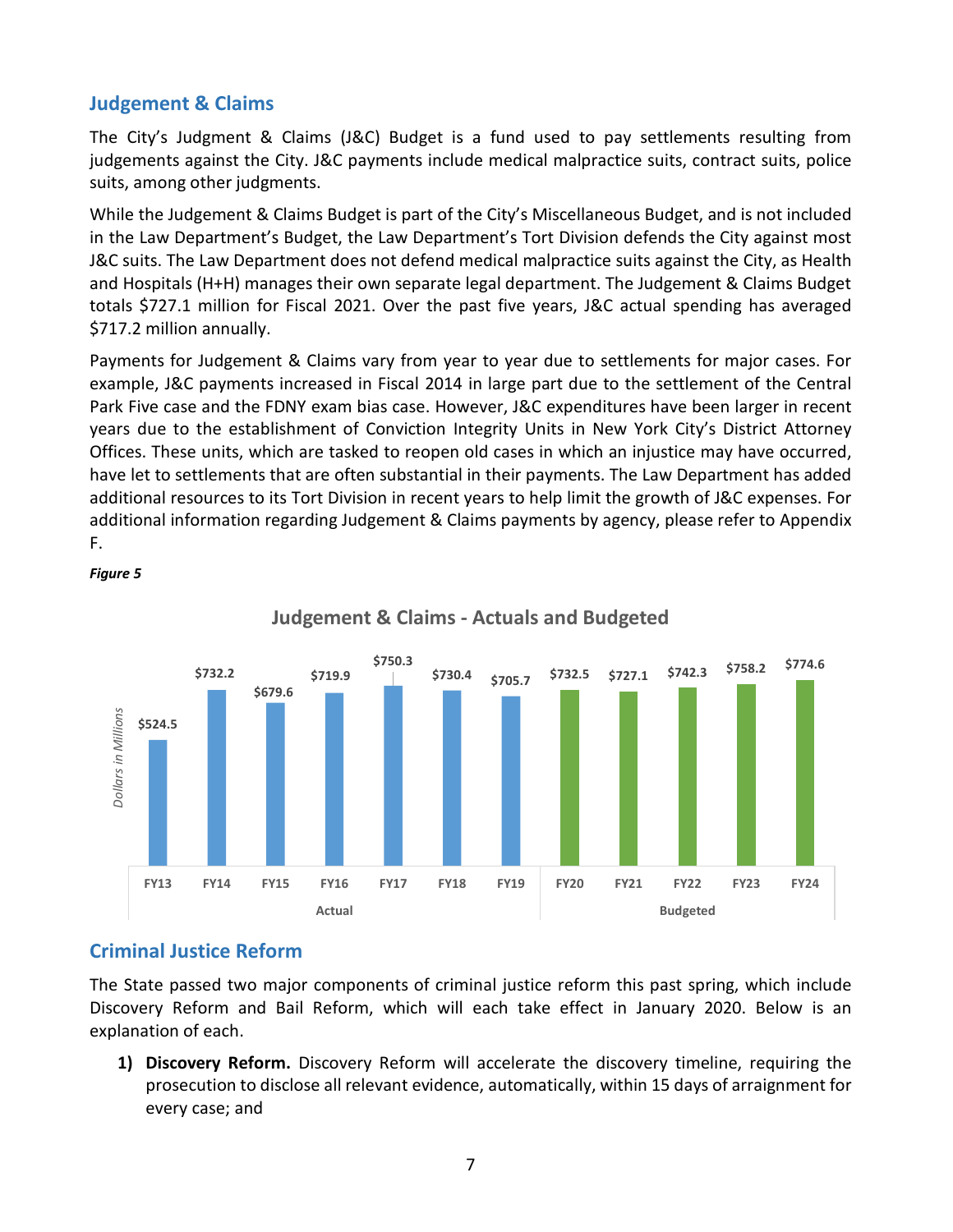### <span id="page-8-0"></span>**Judgement & Claims**

The City's Judgment & Claims (J&C) Budget is a fund used to pay settlements resulting from judgements against the City. J&C payments include medical malpractice suits, contract suits, police suits, among other judgments.

While the Judgement & Claims Budget is part of the City's Miscellaneous Budget, and is not included in the Law Department's Budget, the Law Department's Tort Division defends the City against most J&C suits. The Law Department does not defend medical malpractice suits against the City, as Health and Hospitals (H+H) manages their own separate legal department. The Judgement & Claims Budget totals \$727.1 million for Fiscal 2021. Over the past five years, J&C actual spending has averaged \$717.2 million annually.

Payments for Judgement & Claims vary from year to year due to settlements for major cases. For example, J&C payments increased in Fiscal 2014 in large part due to the settlement of the Central Park Five case and the FDNY exam bias case. However, J&C expenditures have been larger in recent years due to the establishment of Conviction Integrity Units in New York City's District Attorney Offices. These units, which are tasked to reopen old cases in which an injustice may have occurred, have let to settlements that are often substantial in their payments. The Law Department has added additional resources to its Tort Division in recent years to help limit the growth of J&C expenses. For additional information regarding Judgement & Claims payments by agency, please refer to Appendix F.



**Judgement & Claims - Actuals and Budgeted**

### <span id="page-8-1"></span>**Criminal Justice Reform**

*Figure 5*

The State passed two major components of criminal justice reform this past spring, which include Discovery Reform and Bail Reform, which will each take effect in January 2020. Below is an explanation of each.

**1) Discovery Reform.** Discovery Reform will accelerate the discovery timeline, requiring the prosecution to disclose all relevant evidence, automatically, within 15 days of arraignment for every case; and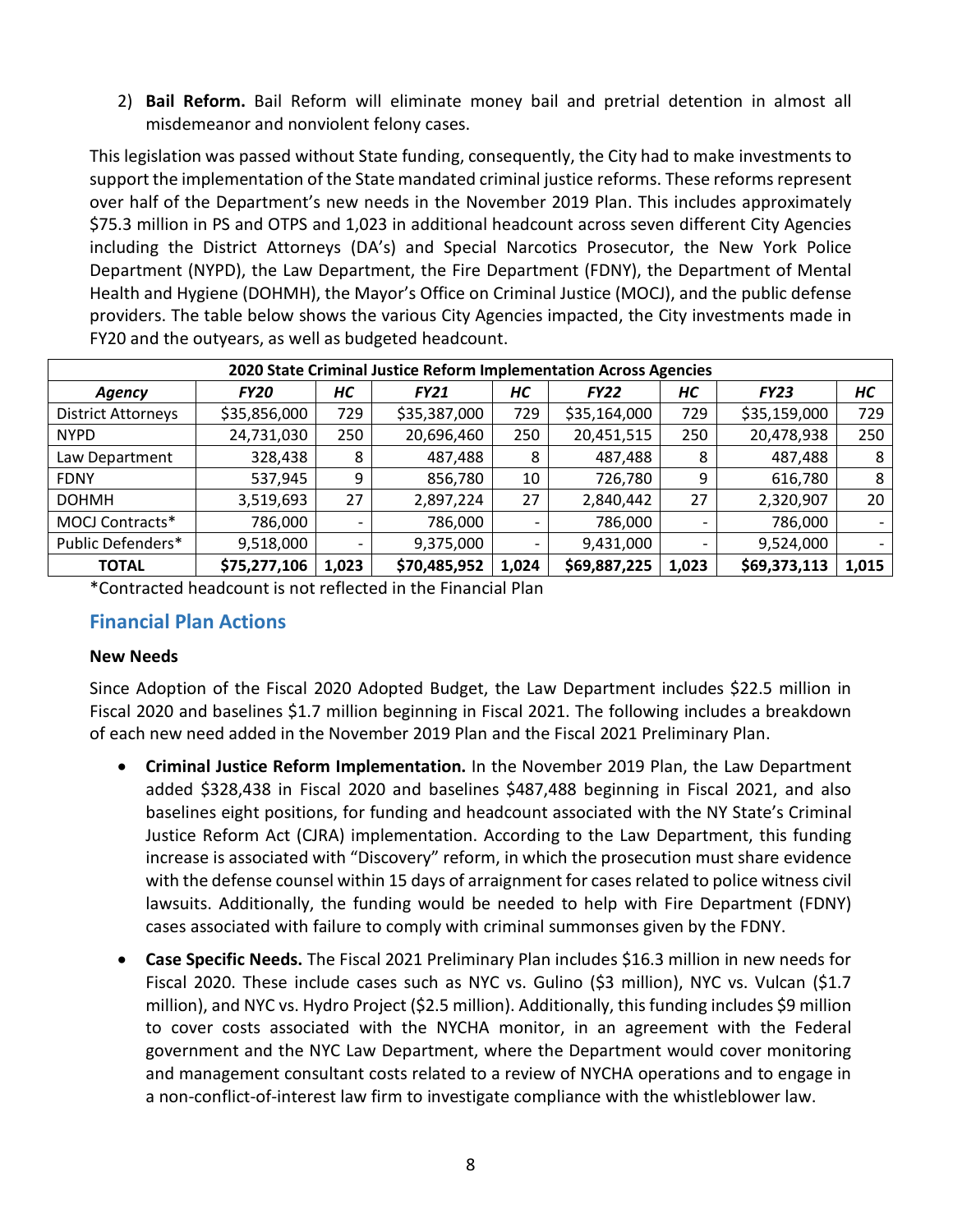2) **Bail Reform.** Bail Reform will eliminate money bail and pretrial detention in almost all misdemeanor and nonviolent felony cases.

This legislation was passed without State funding, consequently, the City had to make investments to support the implementation of the State mandated criminal justice reforms. These reforms represent over half of the Department's new needs in the November 2019 Plan. This includes approximately \$75.3 million in PS and OTPS and 1,023 in additional headcount across seven different City Agencies including the District Attorneys (DA's) and Special Narcotics Prosecutor, the New York Police Department (NYPD), the Law Department, the Fire Department (FDNY), the Department of Mental Health and Hygiene (DOHMH), the Mayor's Office on Criminal Justice (MOCJ), and the public defense providers. The table below shows the various City Agencies impacted, the City investments made in FY20 and the outyears, as well as budgeted headcount.

|                           | 2020 State Criminal Justice Reform Implementation Across Agencies |       |              |       |              |       |              |       |  |  |  |  |  |
|---------------------------|-------------------------------------------------------------------|-------|--------------|-------|--------------|-------|--------------|-------|--|--|--|--|--|
| <b>Agency</b>             | <b>FY20</b>                                                       | HС    | <b>FY21</b>  | HC    | <b>FY22</b>  | HС    | <b>FY23</b>  | HC    |  |  |  |  |  |
| <b>District Attorneys</b> | \$35,856,000                                                      | 729   | \$35,387,000 | 729   | \$35,164,000 | 729   | \$35,159,000 | 729   |  |  |  |  |  |
| <b>NYPD</b>               | 24,731,030                                                        | 250   | 20,696,460   | 250   | 20,451,515   | 250   | 20,478,938   | 250   |  |  |  |  |  |
| Law Department            | 328,438                                                           | 8     | 487,488      | 8     | 487,488      | 8     | 487,488      | 8     |  |  |  |  |  |
| <b>FDNY</b>               | 537,945                                                           | 9     | 856,780      | 10    | 726,780      | 9     | 616,780      | 8     |  |  |  |  |  |
| <b>DOHMH</b>              | 3,519,693                                                         | 27    | 2,897,224    | 27    | 2,840,442    | 27    | 2,320,907    | 20    |  |  |  |  |  |
| <b>MOCJ Contracts*</b>    | 786,000                                                           |       | 786,000      |       | 786,000      |       | 786,000      |       |  |  |  |  |  |
| Public Defenders*         | 9,518,000                                                         |       | 9,375,000    |       | 9,431,000    |       | 9,524,000    |       |  |  |  |  |  |
| <b>TOTAL</b>              | \$75,277,106                                                      | 1,023 | \$70,485,952 | 1,024 | \$69,887,225 | 1,023 | \$69,373,113 | 1,015 |  |  |  |  |  |

\*Contracted headcount is not reflected in the Financial Plan

#### <span id="page-9-0"></span>**Financial Plan Actions**

#### **New Needs**

Since Adoption of the Fiscal 2020 Adopted Budget, the Law Department includes \$22.5 million in Fiscal 2020 and baselines \$1.7 million beginning in Fiscal 2021. The following includes a breakdown of each new need added in the November 2019 Plan and the Fiscal 2021 Preliminary Plan.

- **Criminal Justice Reform Implementation.** In the November 2019 Plan, the Law Department added \$328,438 in Fiscal 2020 and baselines \$487,488 beginning in Fiscal 2021, and also baselines eight positions, for funding and headcount associated with the NY State's Criminal Justice Reform Act (CJRA) implementation. According to the Law Department, this funding increase is associated with "Discovery" reform, in which the prosecution must share evidence with the defense counsel within 15 days of arraignment for cases related to police witness civil lawsuits. Additionally, the funding would be needed to help with Fire Department (FDNY) cases associated with failure to comply with criminal summonses given by the FDNY.
- **Case Specific Needs.** The Fiscal 2021 Preliminary Plan includes \$16.3 million in new needs for Fiscal 2020. These include cases such as NYC vs. Gulino (\$3 million), NYC vs. Vulcan (\$1.7 million), and NYC vs. Hydro Project (\$2.5 million). Additionally, this funding includes \$9 million to cover costs associated with the NYCHA monitor, in an agreement with the Federal government and the NYC Law Department, where the Department would cover monitoring and management consultant costs related to a review of NYCHA operations and to engage in a non-conflict-of-interest law firm to investigate compliance with the whistleblower law.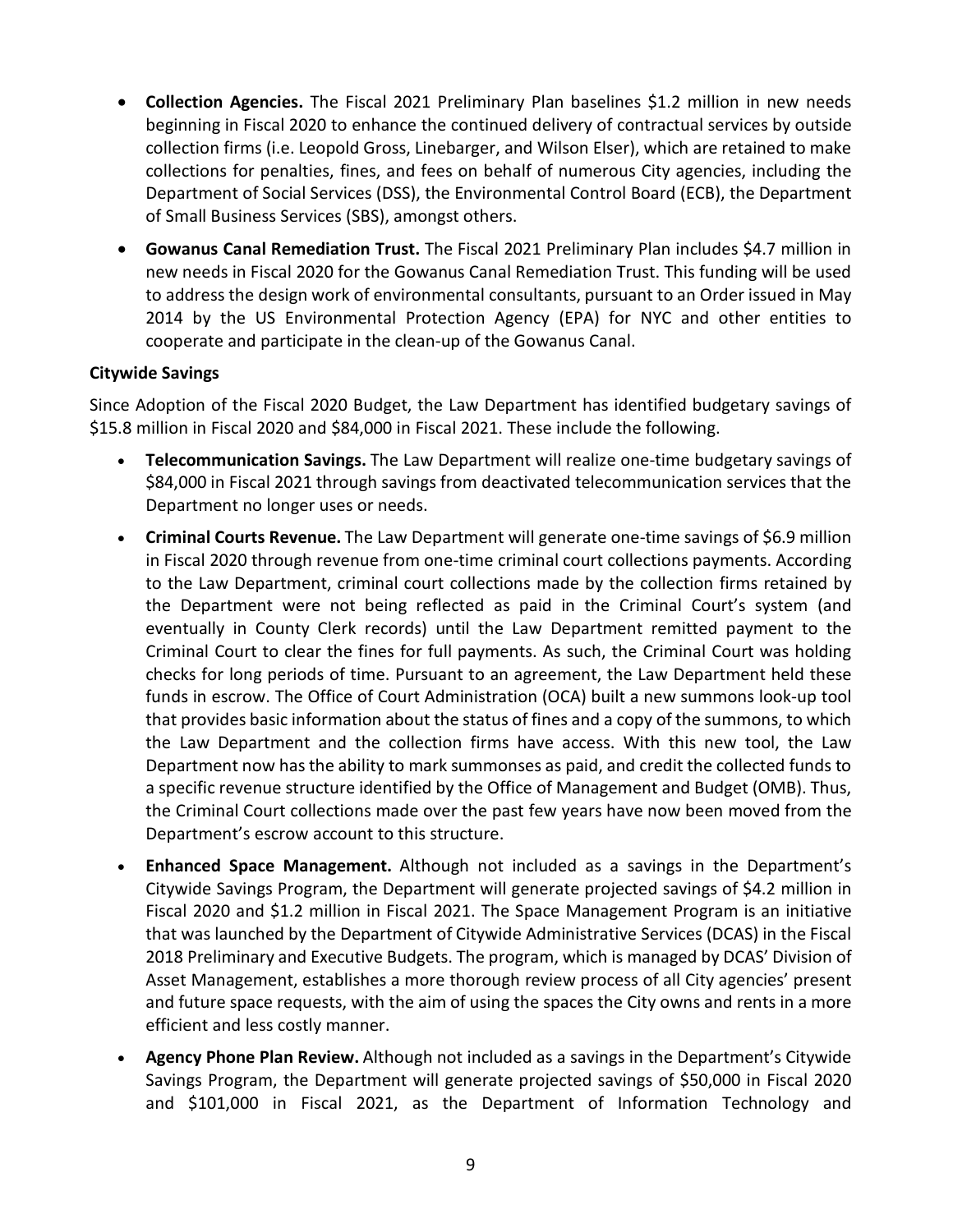- **Collection Agencies.** The Fiscal 2021 Preliminary Plan baselines \$1.2 million in new needs beginning in Fiscal 2020 to enhance the continued delivery of contractual services by outside collection firms (i.e. Leopold Gross, Linebarger, and Wilson Elser), which are retained to make collections for penalties, fines, and fees on behalf of numerous City agencies, including the Department of Social Services (DSS), the Environmental Control Board (ECB), the Department of Small Business Services (SBS), amongst others.
- **Gowanus Canal Remediation Trust.** The Fiscal 2021 Preliminary Plan includes \$4.7 million in new needs in Fiscal 2020 for the Gowanus Canal Remediation Trust. This funding will be used to address the design work of environmental consultants, pursuant to an Order issued in May 2014 by the US Environmental Protection Agency (EPA) for NYC and other entities to cooperate and participate in the clean-up of the Gowanus Canal.

#### **Citywide Savings**

Since Adoption of the Fiscal 2020 Budget, the Law Department has identified budgetary savings of \$15.8 million in Fiscal 2020 and \$84,000 in Fiscal 2021. These include the following.

- **Telecommunication Savings.** The Law Department will realize one-time budgetary savings of \$84,000 in Fiscal 2021 through savings from deactivated telecommunication services that the Department no longer uses or needs.
- Criminal Courts Revenue. The Law Department will generate one-time savings of \$6.9 million in Fiscal 2020 through revenue from one-time criminal court collections payments. According to the Law Department, criminal court collections made by the collection firms retained by the Department were not being reflected as paid in the Criminal Court's system (and eventually in County Clerk records) until the Law Department remitted payment to the Criminal Court to clear the fines for full payments. As such, the Criminal Court was holding checks for long periods of time. Pursuant to an agreement, the Law Department held these funds in escrow. The Office of Court Administration (OCA) built a new summons look-up tool that provides basic information about the status of fines and a copy of the summons, to which the Law Department and the collection firms have access. With this new tool, the Law Department now has the ability to mark summonses as paid, and credit the collected funds to a specific revenue structure identified by the Office of Management and Budget (OMB). Thus, the Criminal Court collections made over the past few years have now been moved from the Department's escrow account to this structure.
- **Enhanced Space Management.** Although not included as a savings in the Department's Citywide Savings Program, the Department will generate projected savings of \$4.2 million in Fiscal 2020 and \$1.2 million in Fiscal 2021. The Space Management Program is an initiative that was launched by the Department of Citywide Administrative Services (DCAS) in the Fiscal 2018 Preliminary and Executive Budgets. The program, which is managed by DCAS' Division of Asset Management, establishes a more thorough review process of all City agencies' present and future space requests, with the aim of using the spaces the City owns and rents in a more efficient and less costly manner.
- **Agency Phone Plan Review.** Although not included as a savings in the Department's Citywide Savings Program, the Department will generate projected savings of \$50,000 in Fiscal 2020 and \$101,000 in Fiscal 2021, as the Department of Information Technology and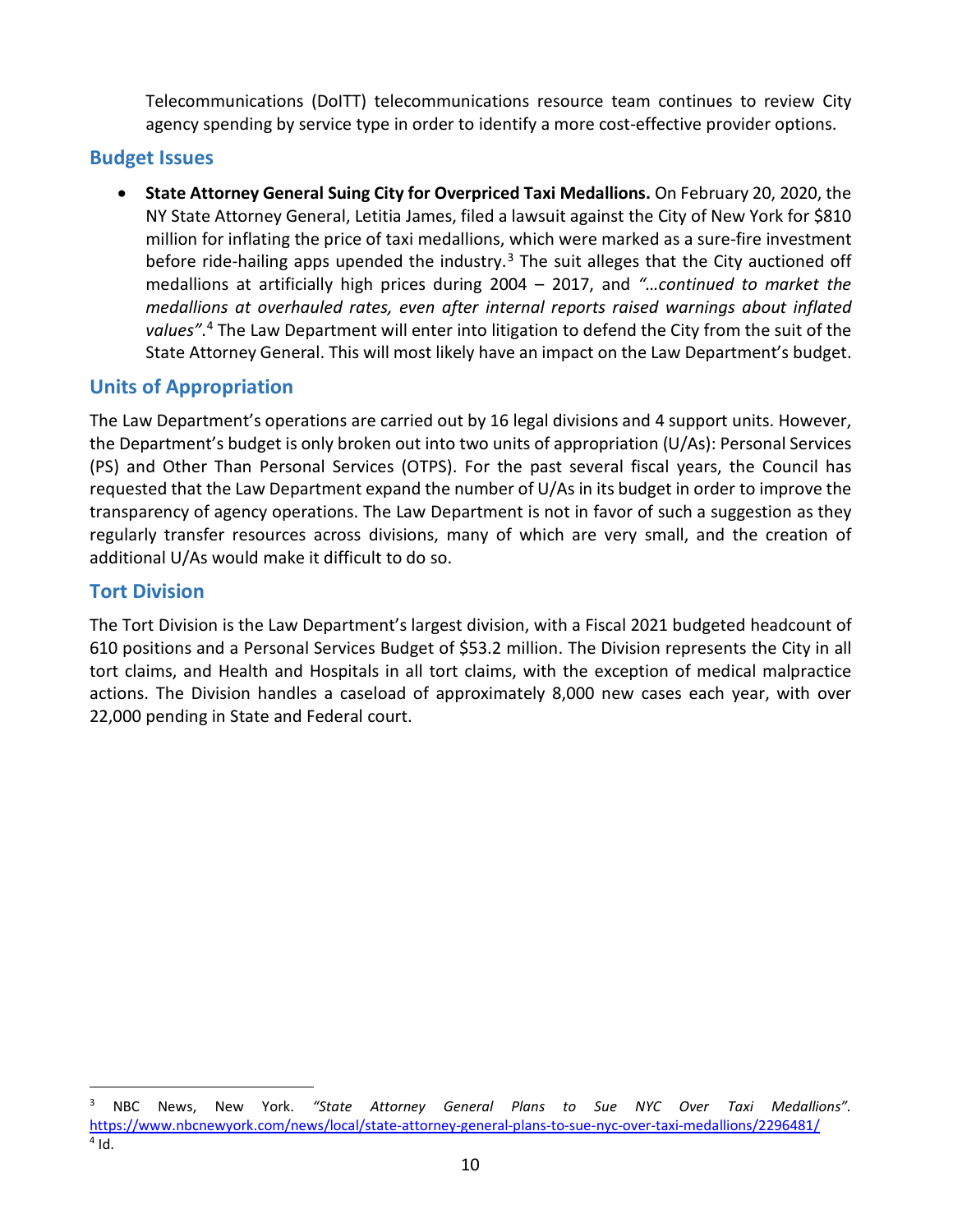Telecommunications (DoITT) telecommunications resource team continues to review City agency spending by service type in order to identify a more cost-effective provider options.

#### <span id="page-11-0"></span>**Budget Issues**

• **State Attorney General Suing City for Overpriced Taxi Medallions.** On February 20, 2020, the NY State Attorney General, Letitia James, filed a lawsuit against the City of New York for \$810 million for inflating the price of taxi medallions, which were marked as a sure-fire investment before ride-hailing apps upended the industry.<sup>[3](#page-11-4)</sup> The suit alleges that the City auctioned off medallions at artificially high prices during 2004 – 2017, and *"…continued to market the medallions at overhauled rates, even after internal reports raised warnings about inflated values"*. [4](#page-11-5) The Law Department will enter into litigation to defend the City from the suit of the State Attorney General. This will most likely have an impact on the Law Department's budget.

### <span id="page-11-1"></span>**Units of Appropriation**

The Law Department's operations are carried out by 16 legal divisions and 4 support units. However, the Department's budget is only broken out into two units of appropriation (U/As): Personal Services (PS) and Other Than Personal Services (OTPS). For the past several fiscal years, the Council has requested that the Law Department expand the number of U/As in its budget in order to improve the transparency of agency operations. The Law Department is not in favor of such a suggestion as they regularly transfer resources across divisions, many of which are very small, and the creation of additional U/As would make it difficult to do so.

#### <span id="page-11-2"></span>**Tort Division**

<span id="page-11-3"></span>The Tort Division is the Law Department's largest division, with a Fiscal 2021 budgeted headcount of 610 positions and a Personal Services Budget of \$53.2 million. The Division represents the City in all tort claims, and Health and Hospitals in all tort claims, with the exception of medical malpractice actions. The Division handles a caseload of approximately 8,000 new cases each year, with over 22,000 pending in State and Federal court.

<span id="page-11-5"></span><span id="page-11-4"></span> <sup>3</sup> NBC News, New York. *"State Attorney General Plans to Sue NYC Over Taxi Medallions".*  <https://www.nbcnewyork.com/news/local/state-attorney-general-plans-to-sue-nyc-over-taxi-medallions/2296481/>  $4$  Id.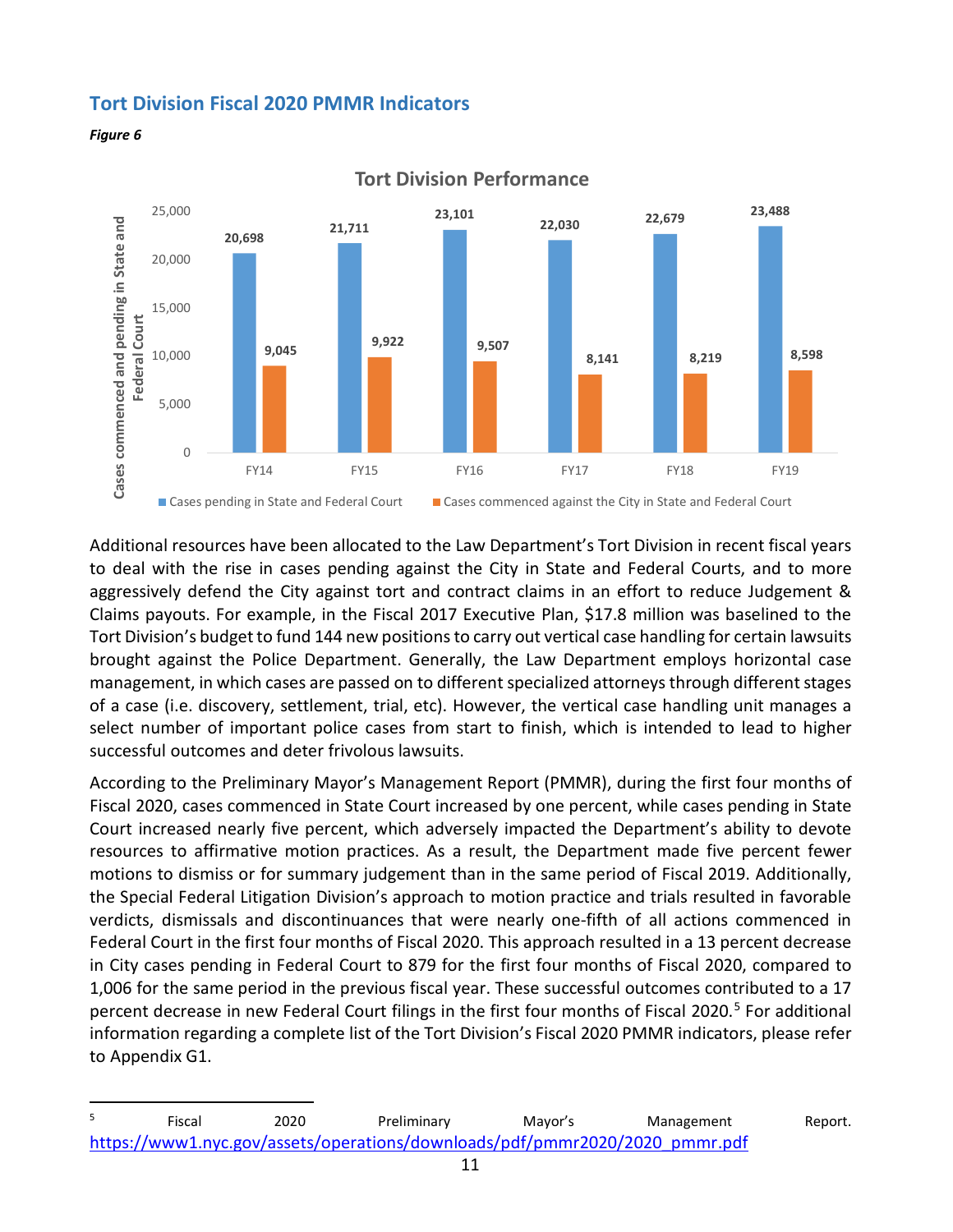#### **Tort Division Fiscal 2020 PMMR Indicators**





**Tort Division Performance**

Additional resources have been allocated to the Law Department's Tort Division in recent fiscal years to deal with the rise in cases pending against the City in State and Federal Courts, and to more aggressively defend the City against tort and contract claims in an effort to reduce Judgement & Claims payouts. For example, in the Fiscal 2017 Executive Plan, \$17.8 million was baselined to the Tort Division's budget to fund 144 new positions to carry out vertical case handling for certain lawsuits brought against the Police Department. Generally, the Law Department employs horizontal case management, in which cases are passed on to different specialized attorneys through different stages of a case (i.e. discovery, settlement, trial, etc). However, the vertical case handling unit manages a select number of important police cases from start to finish, which is intended to lead to higher successful outcomes and deter frivolous lawsuits.

According to the Preliminary Mayor's Management Report (PMMR), during the first four months of Fiscal 2020, cases commenced in State Court increased by one percent, while cases pending in State Court increased nearly five percent, which adversely impacted the Department's ability to devote resources to affirmative motion practices. As a result, the Department made five percent fewer motions to dismiss or for summary judgement than in the same period of Fiscal 2019. Additionally, the Special Federal Litigation Division's approach to motion practice and trials resulted in favorable verdicts, dismissals and discontinuances that were nearly one-fifth of all actions commenced in Federal Court in the first four months of Fiscal 2020. This approach resulted in a 13 percent decrease in City cases pending in Federal Court to 879 for the first four months of Fiscal 2020, compared to 1,006 for the same period in the previous fiscal year. These successful outcomes contributed to a 17 percent decrease in new Federal Court filings in the first four months of Fiscal 2020.<sup>[5](#page-12-0)</sup> For additional information regarding a complete list of the Tort Division's Fiscal 2020 PMMR indicators, please refer to Appendix G1.

<span id="page-12-0"></span>enties and the control of the control of the control of the control of the control of the control of the contr<br>
Fiscal and the control of the control of the control of the Preliminary Mayor's the Management of Report. [https://www1.nyc.gov/assets/operations/downloads/pdf/pmmr2020/2020\\_pmmr.pdf](https://www1.nyc.gov/assets/operations/downloads/pdf/pmmr2020/2020_pmmr.pdf)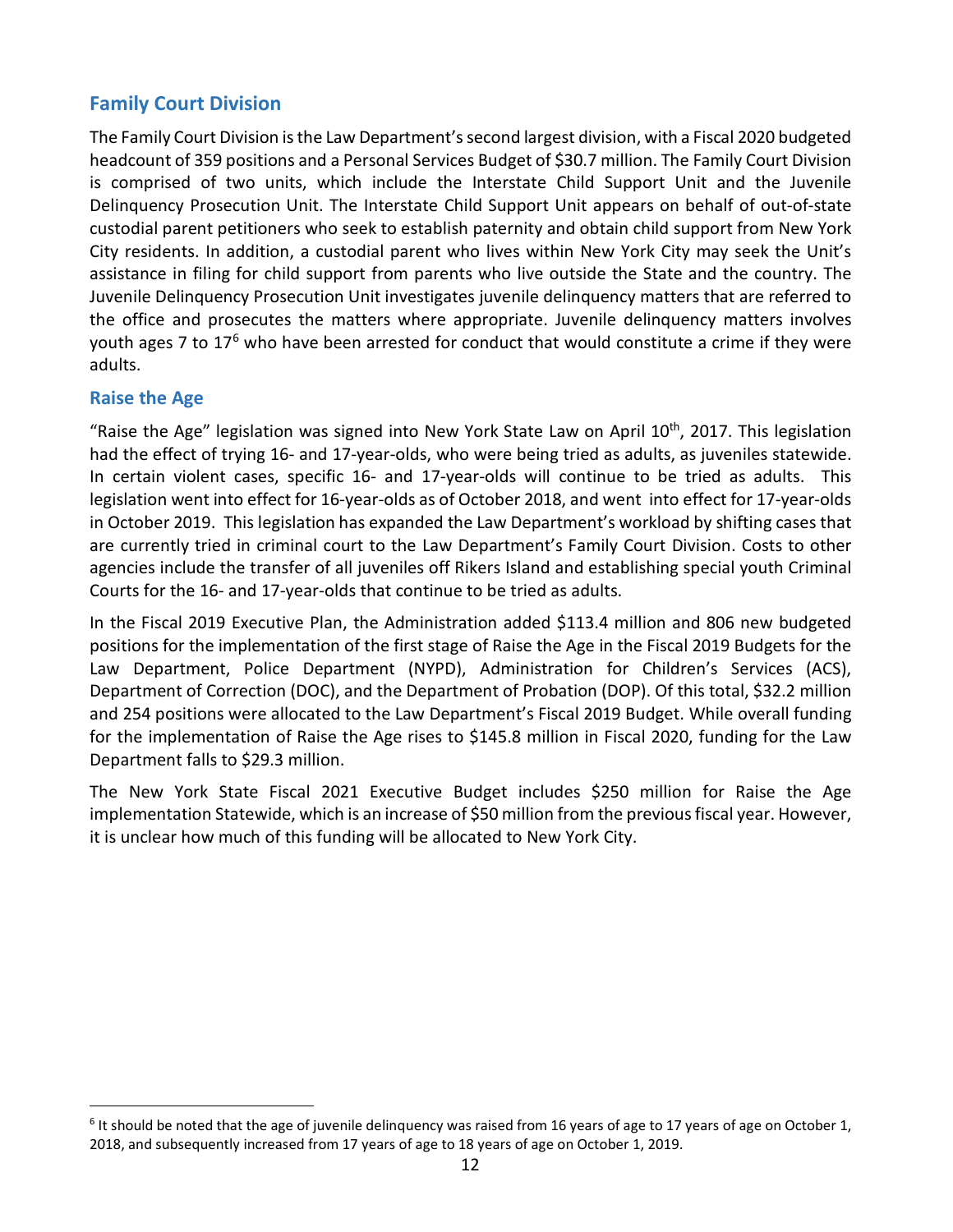### <span id="page-13-0"></span>**Family Court Division**

The Family Court Division is the Law Department's second largest division, with a Fiscal 2020 budgeted headcount of 359 positions and a Personal Services Budget of \$30.7 million. The Family Court Division is comprised of two units, which include the Interstate Child Support Unit and the Juvenile Delinquency Prosecution Unit. The Interstate Child Support Unit appears on behalf of out-of-state custodial parent petitioners who seek to establish paternity and obtain child support from New York City residents. In addition, a custodial parent who lives within New York City may seek the Unit's assistance in filing for child support from parents who live outside the State and the country. The Juvenile Delinquency Prosecution Unit investigates juvenile delinquency matters that are referred to the office and prosecutes the matters where appropriate. Juvenile delinquency matters involves youth ages 7 to 17<sup>[6](#page-13-2)</sup> who have been arrested for conduct that would constitute a crime if they were adults.

#### <span id="page-13-1"></span>**Raise the Age**

"Raise the Age" legislation was signed into New York State Law on April  $10^{th}$ , 2017. This legislation had the effect of trying 16- and 17-year-olds, who were being tried as adults, as juveniles statewide. In certain violent cases, specific 16- and 17-year-olds will continue to be tried as adults. This legislation went into effect for 16-year-olds as of October 2018, and went into effect for 17-year-olds in October 2019. This legislation has expanded the Law Department's workload by shifting cases that are currently tried in criminal court to the Law Department's Family Court Division. Costs to other agencies include the transfer of all juveniles off Rikers Island and establishing special youth Criminal Courts for the 16- and 17-year-olds that continue to be tried as adults.

In the Fiscal 2019 Executive Plan, the Administration added \$113.4 million and 806 new budgeted positions for the implementation of the first stage of Raise the Age in the Fiscal 2019 Budgets for the Law Department, Police Department (NYPD), Administration for Children's Services (ACS), Department of Correction (DOC), and the Department of Probation (DOP). Of this total, \$32.2 million and 254 positions were allocated to the Law Department's Fiscal 2019 Budget. While overall funding for the implementation of Raise the Age rises to \$145.8 million in Fiscal 2020, funding for the Law Department falls to \$29.3 million.

The New York State Fiscal 2021 Executive Budget includes \$250 million for Raise the Age implementation Statewide, which is an increase of \$50 million from the previous fiscal year. However, it is unclear how much of this funding will be allocated to New York City.

<span id="page-13-2"></span> $6$  It should be noted that the age of juvenile delinguency was raised from 16 years of age to 17 years of age on October 1, 2018, and subsequently increased from 17 years of age to 18 years of age on October 1, 2019.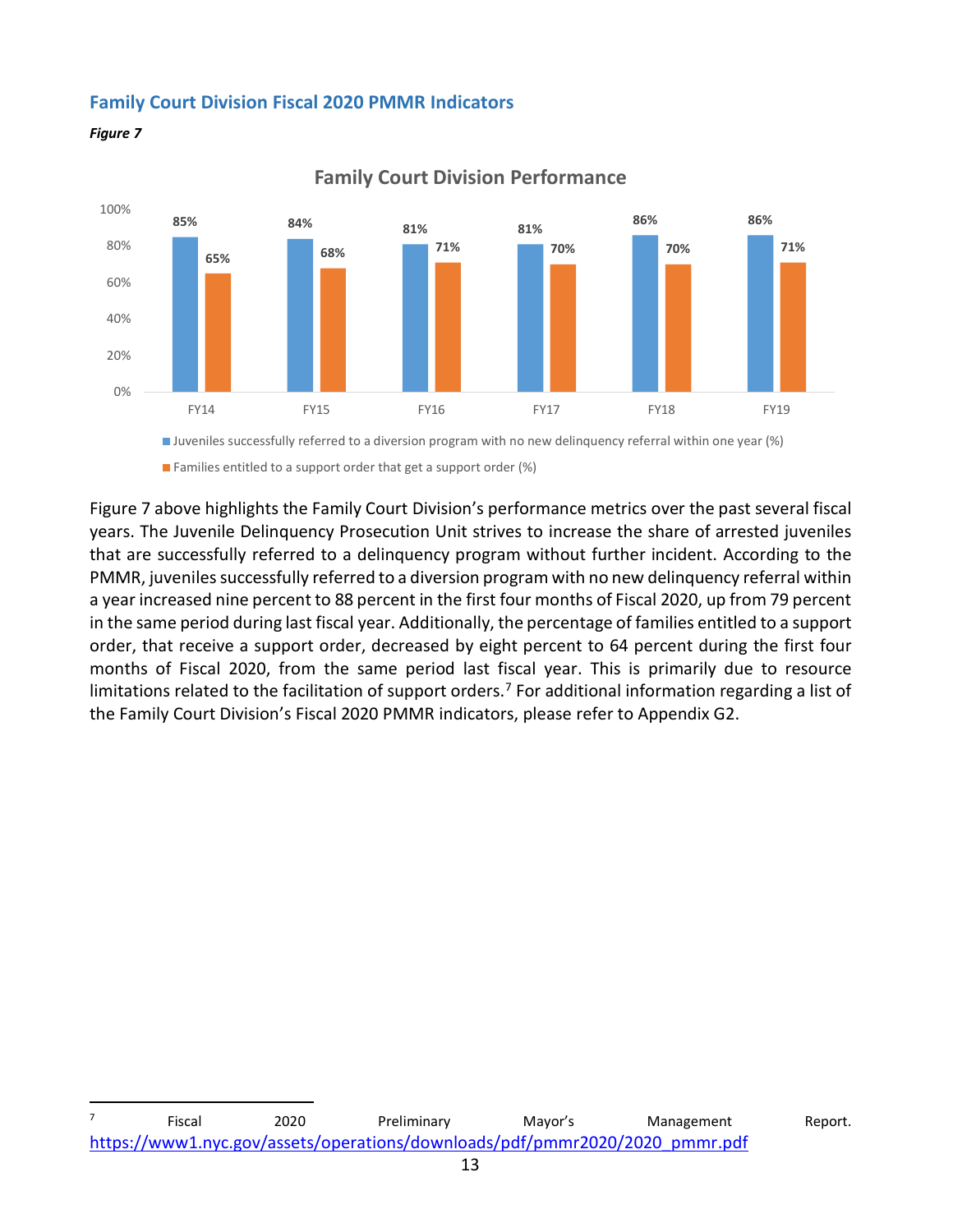#### <span id="page-14-0"></span>**Family Court Division Fiscal 2020 PMMR Indicators**





**Family Court Division Performance**

 $\blacksquare$  Families entitled to a support order that get a support order (%)

Figure 7 above highlights the Family Court Division's performance metrics over the past several fiscal years. The Juvenile Delinquency Prosecution Unit strives to increase the share of arrested juveniles that are successfully referred to a delinquency program without further incident. According to the PMMR, juveniles successfully referred to a diversion program with no new delinquency referral within a year increased nine percent to 88 percent in the first four months of Fiscal 2020, up from 79 percent in the same period during last fiscal year. Additionally, the percentage of families entitled to a support order, that receive a support order, decreased by eight percent to 64 percent during the first four months of Fiscal 2020, from the same period last fiscal year. This is primarily due to resource limitations related to the facilitation of support orders.<sup>[7](#page-14-1)</sup> For additional information regarding a list of the Family Court Division's Fiscal 2020 PMMR indicators, please refer to Appendix G2.

<span id="page-14-1"></span>The Community Community Communist Communist Communist Communist Communist Communist Communist Communist Communist<br>The Communist Communist Communist Communist Communist Communist Communist Communist Communist Communist Comm [https://www1.nyc.gov/assets/operations/downloads/pdf/pmmr2020/2020\\_pmmr.pdf](https://www1.nyc.gov/assets/operations/downloads/pdf/pmmr2020/2020_pmmr.pdf)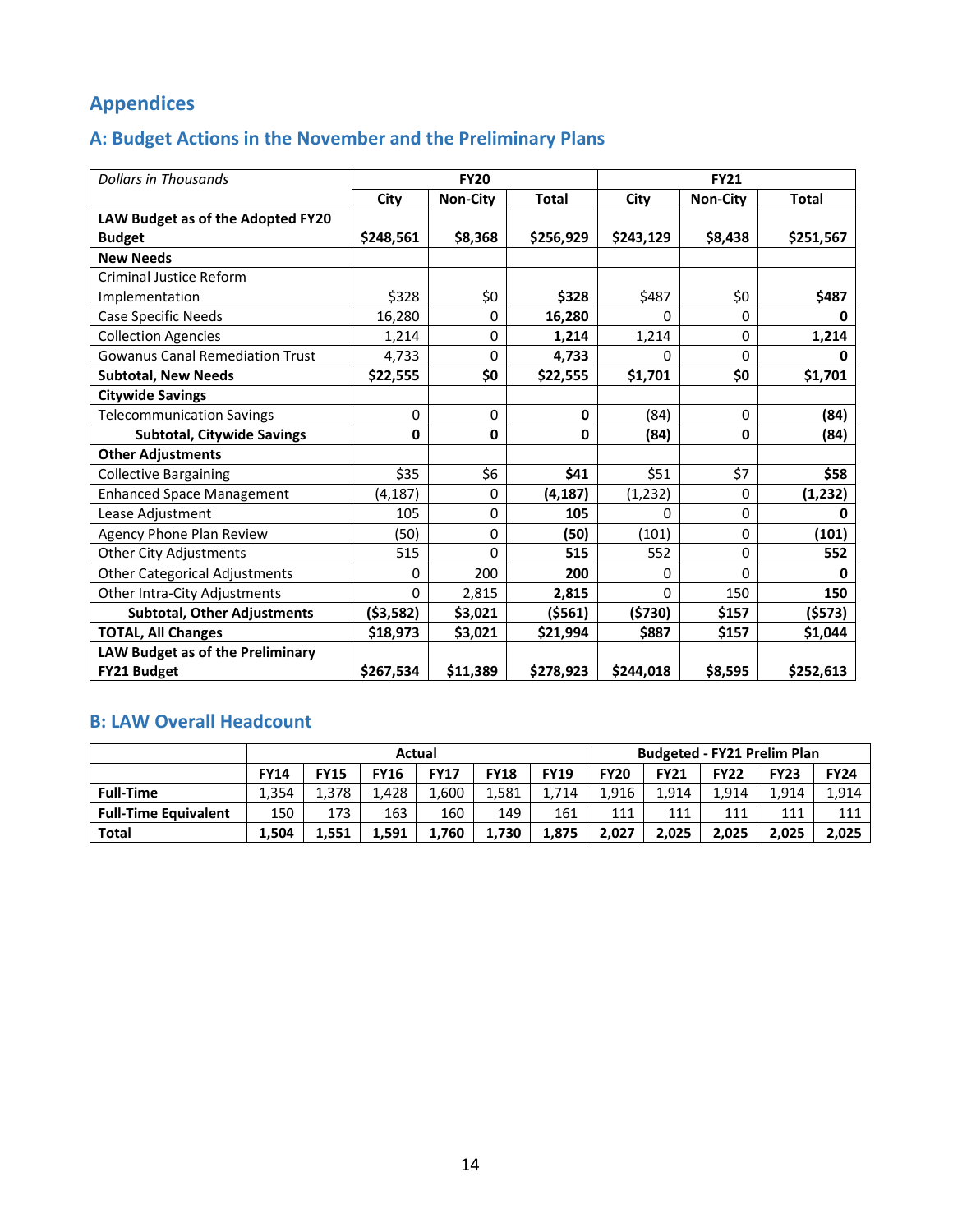# <span id="page-15-0"></span>**Appendices**

# <span id="page-15-1"></span>**A: Budget Actions in the November and the Preliminary Plans**

| <b>Dollars in Thousands</b>            |              | <b>FY20</b>     |              | <b>FY21</b> |                 |              |  |
|----------------------------------------|--------------|-----------------|--------------|-------------|-----------------|--------------|--|
|                                        | City         | <b>Non-City</b> | <b>Total</b> | City        | <b>Non-City</b> | <b>Total</b> |  |
| LAW Budget as of the Adopted FY20      |              |                 |              |             |                 |              |  |
| <b>Budget</b>                          | \$248,561    | \$8,368         | \$256,929    | \$243,129   | \$8,438         | \$251,567    |  |
| <b>New Needs</b>                       |              |                 |              |             |                 |              |  |
| Criminal Justice Reform                |              |                 |              |             |                 |              |  |
| Implementation                         | \$328        | \$0             | \$328        | \$487       | \$0             | \$487        |  |
| <b>Case Specific Needs</b>             | 16,280       | $\Omega$        | 16,280       | $\Omega$    | $\Omega$        | 0            |  |
| <b>Collection Agencies</b>             | 1,214        | 0               | 1,214        | 1,214       | $\mathbf 0$     | 1,214        |  |
| <b>Gowanus Canal Remediation Trust</b> | 4,733        | 0               | 4,733        | 0           | $\Omega$        | 0            |  |
| <b>Subtotal, New Needs</b>             | \$22,555     | \$0             | \$22,555     | \$1,701     | \$0             | \$1,701      |  |
| <b>Citywide Savings</b>                |              |                 |              |             |                 |              |  |
| <b>Telecommunication Savings</b>       | $\mathbf 0$  | 0               | $\mathbf 0$  | (84)        | 0               | (84)         |  |
| <b>Subtotal, Citywide Savings</b>      | $\mathbf{0}$ | $\mathbf{0}$    | $\mathbf{0}$ | (84)        | $\mathbf{0}$    | (84)         |  |
| <b>Other Adjustments</b>               |              |                 |              |             |                 |              |  |
| <b>Collective Bargaining</b>           | \$35         | \$6             | \$41         | \$51        | \$7             | \$58         |  |
| <b>Enhanced Space Management</b>       | (4, 187)     | 0               | (4, 187)     | (1,232)     | 0               | (1, 232)     |  |
| Lease Adjustment                       | 105          | 0               | 105          | 0           | 0               | ŋ            |  |
| Agency Phone Plan Review               | (50)         | $\Omega$        | (50)         | (101)       | 0               | (101)        |  |
| <b>Other City Adjustments</b>          | 515          | 0               | 515          | 552         | 0               | 552          |  |
| <b>Other Categorical Adjustments</b>   | 0            | 200             | 200          | 0           | $\Omega$        | 0            |  |
| Other Intra-City Adjustments           | $\Omega$     | 2,815           | 2,815        | $\Omega$    | 150             | 150          |  |
| <b>Subtotal, Other Adjustments</b>     | (\$3,582)    | \$3,021         | (\$561)      | (5730)      | \$157           | ( \$573)     |  |
| <b>TOTAL, All Changes</b>              | \$18,973     | \$3,021         | \$21,994     | \$887       | \$157           | \$1,044      |  |
| LAW Budget as of the Preliminary       |              |                 |              |             |                 |              |  |
| <b>FY21 Budget</b>                     | \$267,534    | \$11,389        | \$278,923    | \$244,018   | \$8,595         | \$252,613    |  |

### <span id="page-15-2"></span>**B: LAW Overall Headcount**

<span id="page-15-3"></span>

|                             | Actual      |             |             |             |             | <b>Budgeted - FY21 Prelim Plan</b> |             |             |             |             |             |
|-----------------------------|-------------|-------------|-------------|-------------|-------------|------------------------------------|-------------|-------------|-------------|-------------|-------------|
|                             | <b>FY14</b> | <b>FY15</b> | <b>FY16</b> | <b>FY17</b> | <b>FY18</b> | <b>FY19</b>                        | <b>FY20</b> | <b>FY21</b> | <b>FY22</b> | <b>FY23</b> | <b>FY24</b> |
| <b>Full-Time</b>            | 1.354       | 1.378       | 1.428       | 1.600       | 1.581       | 1.714                              | 1.916       | 1.914       | 1.914       | 1.914       | 1.914       |
| <b>Full-Time Equivalent</b> | 150         | 173         | 163         | 160         | 149         | 161                                | 111         | 111         | 111         | 111         | 111         |
| <b>Total</b>                | 1.504       | 1.551       | 1.591       | 1.760       | 1,730       | 1.875                              | 2.027       | 2.025       | 2,025       | 2.025       | 2.025       |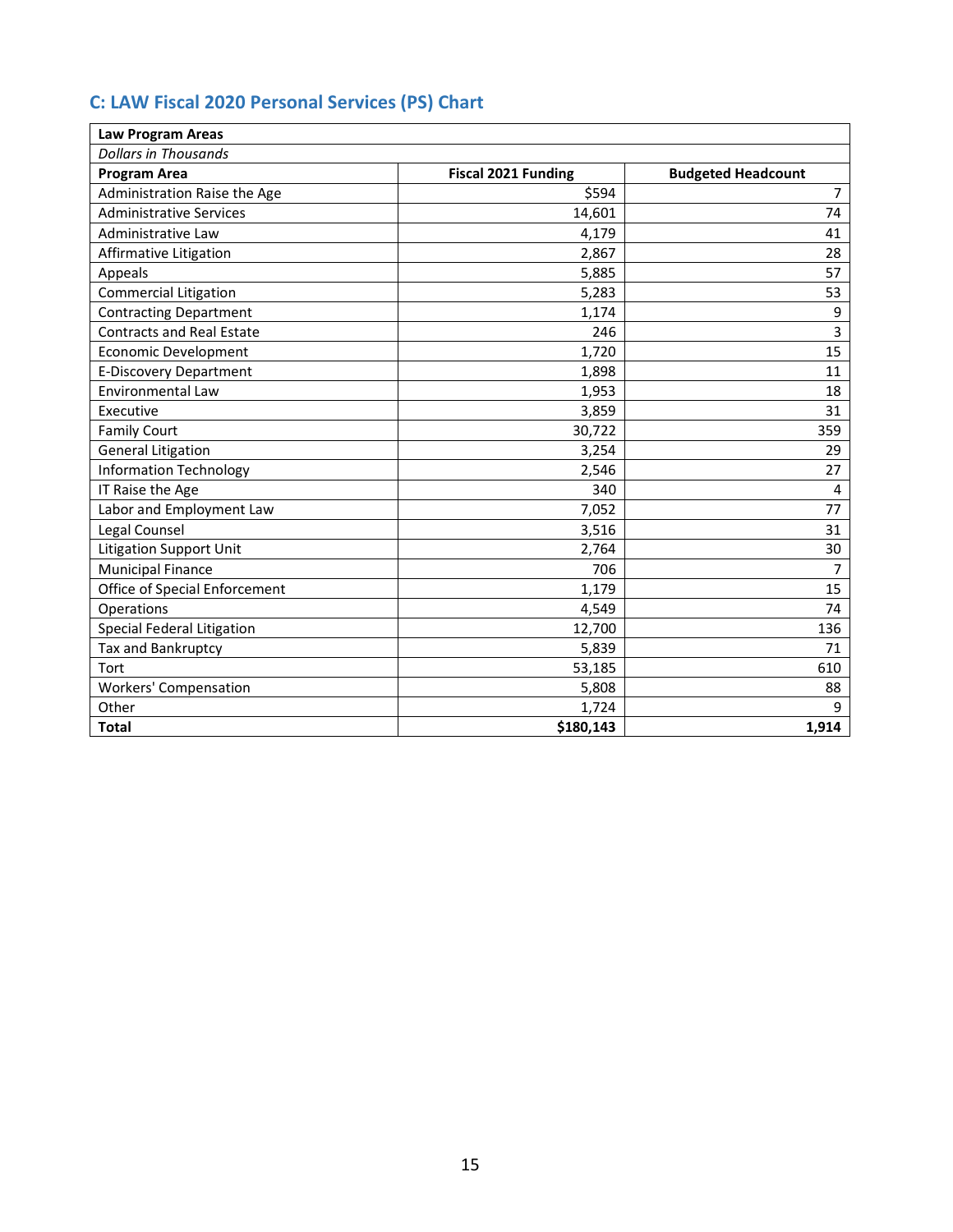### **C: LAW Fiscal 2020 Personal Services (PS) Chart**

| <b>Law Program Areas</b>         |                            |                           |
|----------------------------------|----------------------------|---------------------------|
| <b>Dollars in Thousands</b>      |                            |                           |
| <b>Program Area</b>              | <b>Fiscal 2021 Funding</b> | <b>Budgeted Headcount</b> |
| Administration Raise the Age     | \$594                      | 7 <sup>7</sup>            |
| <b>Administrative Services</b>   | 14,601                     | 74                        |
| Administrative Law               | 4,179                      | 41                        |
| Affirmative Litigation           | 2,867                      | 28                        |
| Appeals                          | 5,885                      | 57                        |
| <b>Commercial Litigation</b>     | 5,283                      | 53                        |
| <b>Contracting Department</b>    | 1,174                      | 9                         |
| <b>Contracts and Real Estate</b> | 246                        | 3                         |
| <b>Economic Development</b>      | 1,720                      | 15                        |
| <b>E-Discovery Department</b>    | 1,898                      | 11                        |
| <b>Environmental Law</b>         | 1,953                      | 18                        |
| Executive                        | 3,859                      | 31                        |
| <b>Family Court</b>              | 30,722                     | 359                       |
| <b>General Litigation</b>        | 3,254                      | 29                        |
| <b>Information Technology</b>    | 2,546                      | 27                        |
| IT Raise the Age                 | 340                        | $\overline{\mathbf{4}}$   |
| Labor and Employment Law         | 7,052                      | 77                        |
| Legal Counsel                    | 3,516                      | 31                        |
| <b>Litigation Support Unit</b>   | 2,764                      | 30                        |
| <b>Municipal Finance</b>         | 706                        | $\overline{7}$            |
| Office of Special Enforcement    | 1,179                      | 15                        |
| Operations                       | 4,549                      | 74                        |
| Special Federal Litigation       | 12,700                     | 136                       |
| Tax and Bankruptcy               | 5,839                      | 71                        |
| Tort                             | 53,185                     | 610                       |
| Workers' Compensation            | 5,808                      | 88                        |
| Other                            | 1,724                      | 9                         |
| <b>Total</b>                     | \$180,143                  | 1,914                     |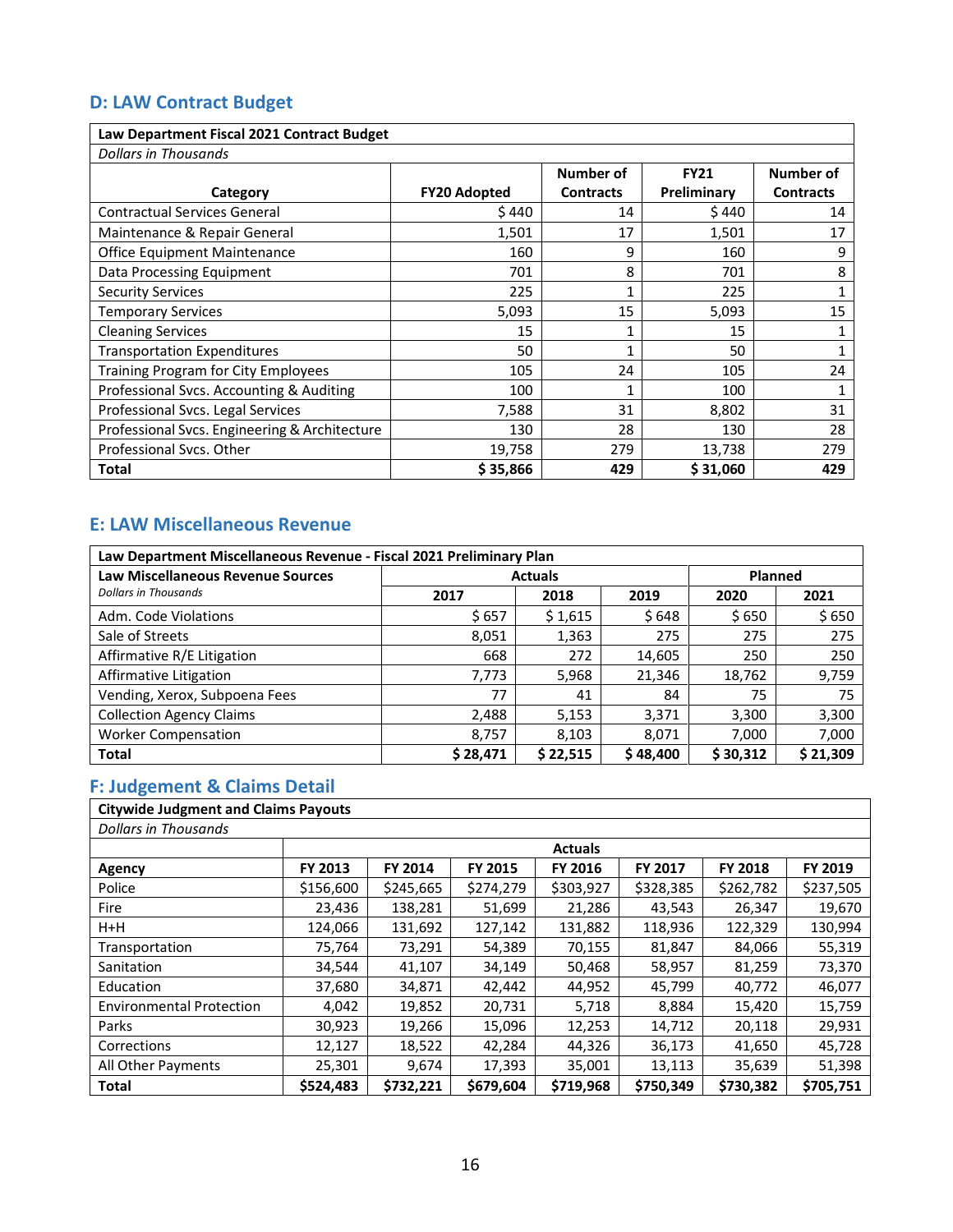# <span id="page-17-0"></span>**D: LAW Contract Budget**

#### **Law Department Fiscal 2021 Contract Budget**

| <b>Dollars in Thousands</b>                   |                     |                  |             |                  |  |  |  |  |  |  |  |
|-----------------------------------------------|---------------------|------------------|-------------|------------------|--|--|--|--|--|--|--|
|                                               |                     | <b>Number of</b> | <b>FY21</b> | Number of        |  |  |  |  |  |  |  |
| Category                                      | <b>FY20 Adopted</b> | <b>Contracts</b> | Preliminary | <b>Contracts</b> |  |  |  |  |  |  |  |
| <b>Contractual Services General</b>           | \$440               | 14               | \$440       | 14               |  |  |  |  |  |  |  |
| Maintenance & Repair General                  | 1,501               | 17               | 1,501       | 17               |  |  |  |  |  |  |  |
| Office Equipment Maintenance                  | 160                 | 9                | 160         | 9                |  |  |  |  |  |  |  |
| Data Processing Equipment                     | 701                 | 8                | 701         | 8                |  |  |  |  |  |  |  |
| <b>Security Services</b>                      | 225                 |                  | 225         |                  |  |  |  |  |  |  |  |
| <b>Temporary Services</b>                     | 5,093               | 15               | 5,093       | 15               |  |  |  |  |  |  |  |
| <b>Cleaning Services</b>                      | 15                  |                  | 15          |                  |  |  |  |  |  |  |  |
| <b>Transportation Expenditures</b>            | 50                  | 1                | 50          |                  |  |  |  |  |  |  |  |
| Training Program for City Employees           | 105                 | 24               | 105         | 24               |  |  |  |  |  |  |  |
| Professional Svcs. Accounting & Auditing      | 100                 |                  | 100         |                  |  |  |  |  |  |  |  |
| Professional Svcs. Legal Services             | 7,588               | 31               | 8,802       | 31               |  |  |  |  |  |  |  |
| Professional Svcs. Engineering & Architecture | 130                 | 28               | 130         | 28               |  |  |  |  |  |  |  |
| Professional Svcs. Other                      | 19,758              | 279              | 13,738      | 279              |  |  |  |  |  |  |  |
| Total                                         | \$35,866            | 429              | \$31,060    | 429              |  |  |  |  |  |  |  |

1

### <span id="page-17-1"></span>**E: LAW Miscellaneous Revenue**

| Law Department Miscellaneous Revenue - Fiscal 2021 Preliminary Plan |          |                |          |          |                |  |  |  |  |  |
|---------------------------------------------------------------------|----------|----------------|----------|----------|----------------|--|--|--|--|--|
| <b>Law Miscellaneous Revenue Sources</b>                            |          | <b>Actuals</b> |          |          | <b>Planned</b> |  |  |  |  |  |
| <b>Dollars in Thousands</b>                                         | 2017     | 2018           | 2019     | 2020     | 2021           |  |  |  |  |  |
| Adm. Code Violations                                                | \$657    | \$1,615        | \$648    | \$650    | \$650          |  |  |  |  |  |
| Sale of Streets                                                     | 8,051    | 1,363          | 275      | 275      | 275            |  |  |  |  |  |
| Affirmative R/E Litigation                                          | 668      | 272            | 14,605   | 250      | 250            |  |  |  |  |  |
| Affirmative Litigation                                              | 7,773    | 5,968          | 21,346   | 18,762   | 9,759          |  |  |  |  |  |
| Vending, Xerox, Subpoena Fees                                       | 77       | 41             | 84       | 75       | 75             |  |  |  |  |  |
| <b>Collection Agency Claims</b>                                     | 2,488    | 5,153          | 3,371    | 3,300    | 3,300          |  |  |  |  |  |
| <b>Worker Compensation</b>                                          | 8,757    | 8,103          | 8,071    | 7,000    | 7,000          |  |  |  |  |  |
| <b>Total</b>                                                        | \$28,471 | \$22,515       | \$48,400 | \$30,312 | \$21,309       |  |  |  |  |  |

# <span id="page-17-2"></span>**F: Judgement & Claims Detail**

| <b>Citywide Judgment and Claims Payouts</b> |           |                |           |           |                |                |           |  |  |  |
|---------------------------------------------|-----------|----------------|-----------|-----------|----------------|----------------|-----------|--|--|--|
| <b>Dollars in Thousands</b>                 |           |                |           |           |                |                |           |  |  |  |
|                                             |           | <b>Actuals</b> |           |           |                |                |           |  |  |  |
| Agency                                      | FY 2013   | FY 2014        | FY 2015   | FY 2016   | <b>FY 2017</b> | <b>FY 2018</b> | FY 2019   |  |  |  |
| Police                                      | \$156,600 | \$245,665      | \$274,279 | \$303,927 | \$328,385      | \$262,782      | \$237,505 |  |  |  |
| Fire                                        | 23,436    | 138,281        | 51,699    | 21,286    | 43,543         | 26,347         | 19,670    |  |  |  |
| $H+H$                                       | 124,066   | 131,692        | 127,142   | 131,882   | 118,936        | 122,329        | 130,994   |  |  |  |
| Transportation                              | 75,764    | 73,291         | 54,389    | 70,155    | 81,847         | 84,066         | 55,319    |  |  |  |
| Sanitation                                  | 34,544    | 41,107         | 34,149    | 50,468    | 58,957         | 81,259         | 73,370    |  |  |  |
| Education                                   | 37,680    | 34,871         | 42,442    | 44,952    | 45,799         | 40,772         | 46,077    |  |  |  |
| <b>Environmental Protection</b>             | 4,042     | 19,852         | 20,731    | 5,718     | 8,884          | 15,420         | 15,759    |  |  |  |
| Parks                                       | 30,923    | 19,266         | 15,096    | 12,253    | 14,712         | 20,118         | 29,931    |  |  |  |
| Corrections                                 | 12,127    | 18,522         | 42,284    | 44,326    | 36,173         | 41,650         | 45,728    |  |  |  |
| All Other Payments                          | 25,301    | 9,674          | 17,393    | 35,001    | 13,113         | 35,639         | 51,398    |  |  |  |
| <b>Total</b>                                | \$524,483 | \$732,221      | \$679,604 | \$719,968 | \$750,349      | \$730,382      | \$705,751 |  |  |  |